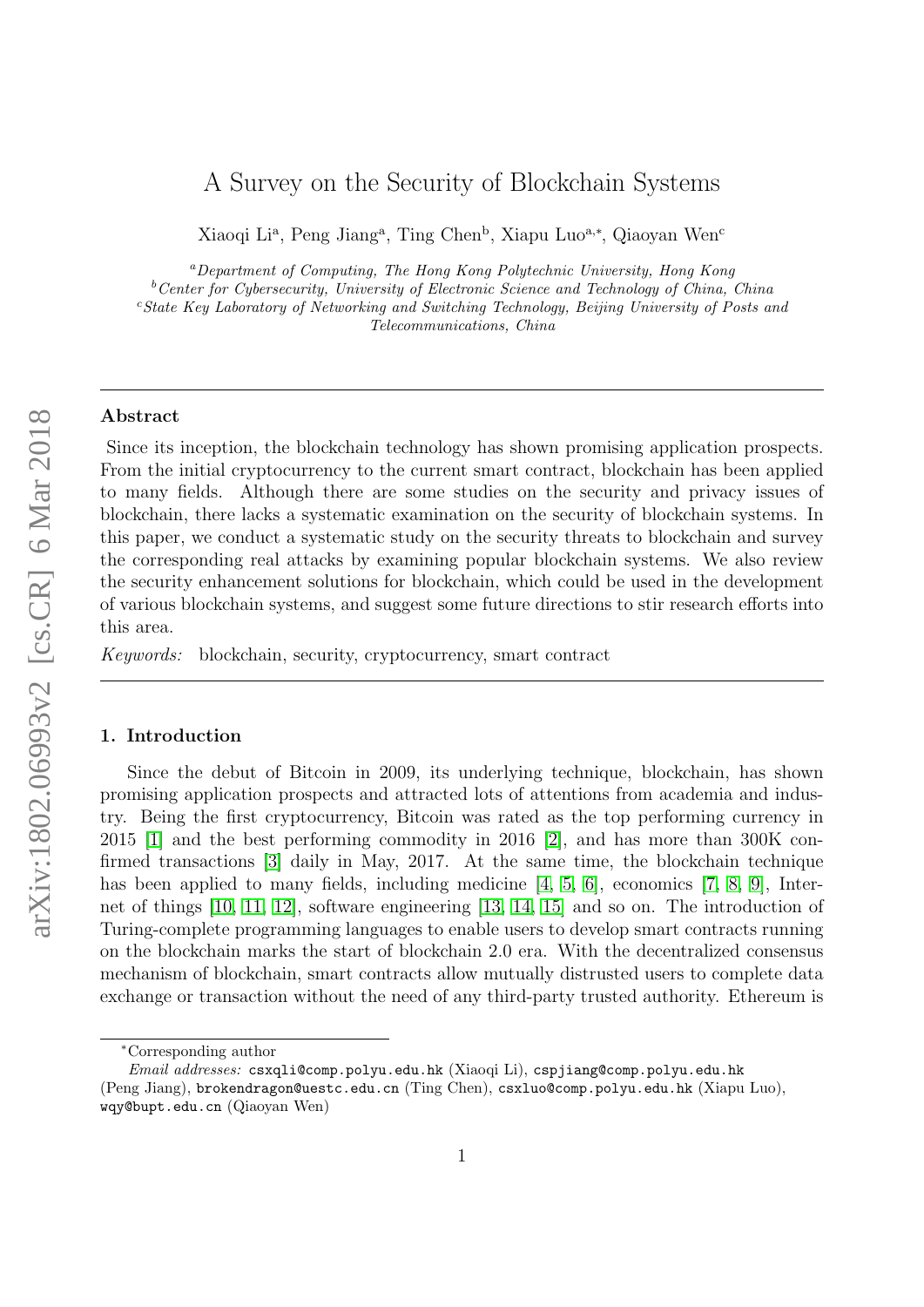# A Survey on the Security of Blockchain Systems

Xiaoqi Li<sup>a</sup>, Peng Jiang<sup>a</sup>, Ting Chen<sup>b</sup>, Xiapu Luo<sup>a,\*</sup>, Qiaoyan Wen<sup>c</sup>

<sup>a</sup>Department of Computing, The Hong Kong Polytechnic University, Hong Kong  $b$ <sup>b</sup>Center for Cybersecurity, University of Electronic Science and Technology of China, China  $c$ State Key Laboratory of Networking and Switching Technology, Beijing University of Posts and Telecommunications, China

# Abstract

Since its inception, the blockchain technology has shown promising application prospects. From the initial cryptocurrency to the current smart contract, blockchain has been applied to many fields. Although there are some studies on the security and privacy issues of blockchain, there lacks a systematic examination on the security of blockchain systems. In this paper, we conduct a systematic study on the security threats to blockchain and survey the corresponding real attacks by examining popular blockchain systems. We also review the security enhancement solutions for blockchain, which could be used in the development of various blockchain systems, and suggest some future directions to stir research efforts into this area.

Keywords: blockchain, security, cryptocurrency, smart contract

#### 1. Introduction

Since the debut of Bitcoin in 2009, its underlying technique, blockchain, has shown promising application prospects and attracted lots of attentions from academia and industry. Being the first cryptocurrency, Bitcoin was rated as the top performing currency in 2015 [\[1\]](#page-21-0) and the best performing commodity in 2016 [\[2\]](#page-21-1), and has more than 300K confirmed transactions [\[3\]](#page-22-0) daily in May, 2017. At the same time, the blockchain technique has been applied to many fields, including medicine [\[4,](#page-22-1) [5,](#page-22-2) [6\]](#page-22-3), economics [\[7,](#page-22-4) [8,](#page-22-5) [9\]](#page-22-6), Internet of things [\[10,](#page-22-7) [11,](#page-22-8) [12\]](#page-22-9), software engineering [\[13,](#page-22-10) [14,](#page-22-11) [15\]](#page-22-12) and so on. The introduction of Turing-complete programming languages to enable users to develop smart contracts running on the blockchain marks the start of blockchain 2.0 era. With the decentralized consensus mechanism of blockchain, smart contracts allow mutually distrusted users to complete data exchange or transaction without the need of any third-party trusted authority. Ethereum is

<sup>∗</sup>Corresponding author

Email addresses: csxqli@comp.polyu.edu.hk (Xiaoqi Li), cspjiang@comp.polyu.edu.hk (Peng Jiang), brokendragon@uestc.edu.cn (Ting Chen), csxluo@comp.polyu.edu.hk (Xiapu Luo), wqy@bupt.edu.cn (Qiaoyan Wen)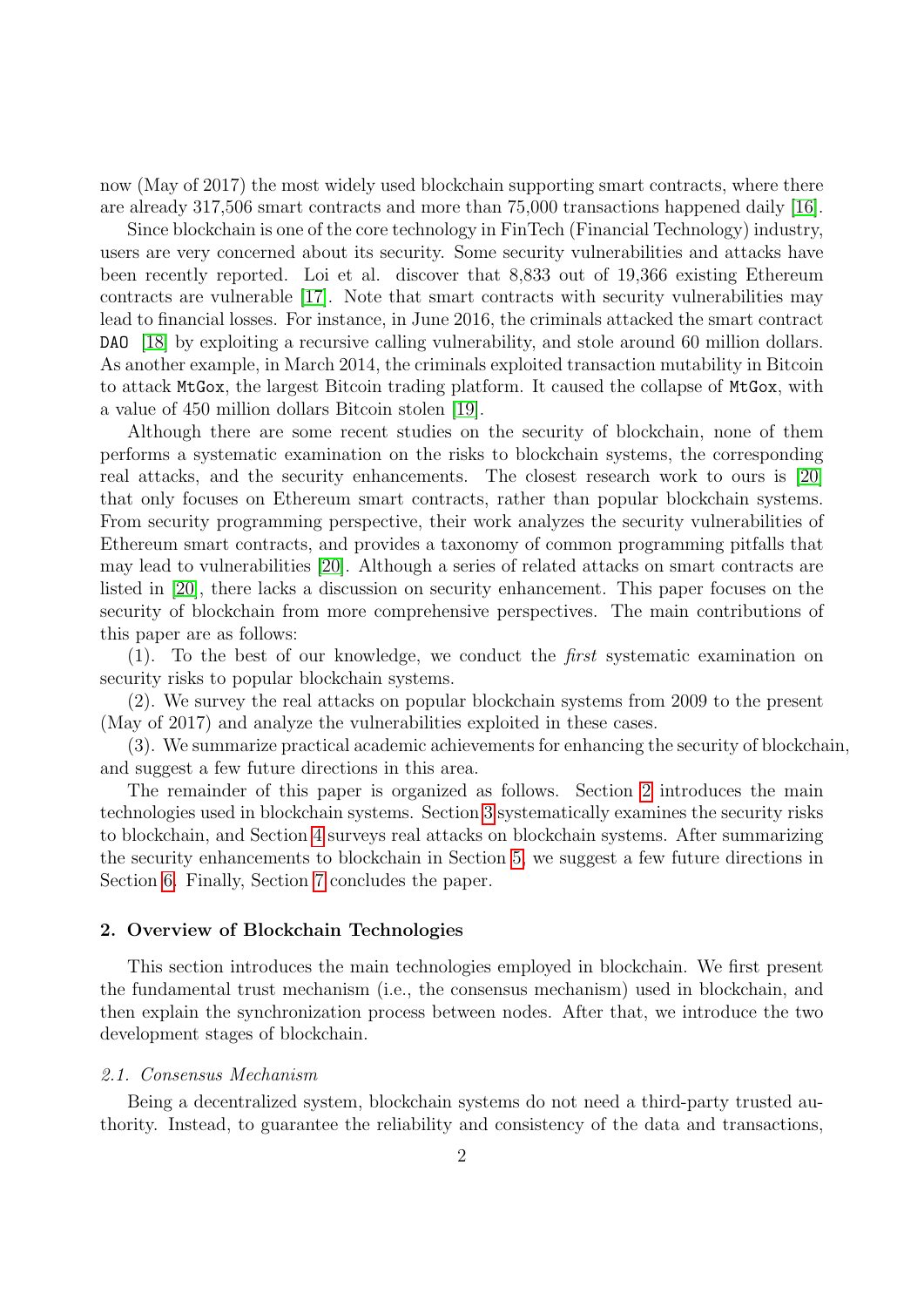now (May of 2017) the most widely used blockchain supporting smart contracts, where there are already 317,506 smart contracts and more than 75,000 transactions happened daily [\[16\]](#page-22-13).

Since blockchain is one of the core technology in FinTech (Financial Technology) industry, users are very concerned about its security. Some security vulnerabilities and attacks have been recently reported. Loi et al. discover that 8,833 out of 19,366 existing Ethereum contracts are vulnerable [\[17\]](#page-22-14). Note that smart contracts with security vulnerabilities may lead to financial losses. For instance, in June 2016, the criminals attacked the smart contract DAO [\[18\]](#page-22-15) by exploiting a recursive calling vulnerability, and stole around 60 million dollars. As another example, in March 2014, the criminals exploited transaction mutability in Bitcoin to attack MtGox, the largest Bitcoin trading platform. It caused the collapse of MtGox, with a value of 450 million dollars Bitcoin stolen [\[19\]](#page-22-16).

Although there are some recent studies on the security of blockchain, none of them performs a systematic examination on the risks to blockchain systems, the corresponding real attacks, and the security enhancements. The closest research work to ours is [\[20\]](#page-22-17) that only focuses on Ethereum smart contracts, rather than popular blockchain systems. From security programming perspective, their work analyzes the security vulnerabilities of Ethereum smart contracts, and provides a taxonomy of common programming pitfalls that may lead to vulnerabilities [\[20\]](#page-22-17). Although a series of related attacks on smart contracts are listed in [\[20\]](#page-22-17), there lacks a discussion on security enhancement. This paper focuses on the security of blockchain from more comprehensive perspectives. The main contributions of this paper are as follows:

(1). To the best of our knowledge, we conduct the first systematic examination on security risks to popular blockchain systems.

(2). We survey the real attacks on popular blockchain systems from 2009 to the present (May of 2017) and analyze the vulnerabilities exploited in these cases.

(3). We summarize practical academic achievements for enhancing the security of blockchain, and suggest a few future directions in this area.

The remainder of this paper is organized as follows. Section [2](#page-1-0) introduces the main technologies used in blockchain systems. Section [3](#page-6-0) systematically examines the security risks to blockchain, and Section [4](#page-13-0) surveys real attacks on blockchain systems. After summarizing the security enhancements to blockchain in Section [5,](#page-17-0) we suggest a few future directions in Section [6.](#page-21-2) Finally, Section [7](#page-21-3) concludes the paper.

#### <span id="page-1-0"></span>2. Overview of Blockchain Technologies

This section introduces the main technologies employed in blockchain. We first present the fundamental trust mechanism (i.e., the consensus mechanism) used in blockchain, and then explain the synchronization process between nodes. After that, we introduce the two development stages of blockchain.

#### 2.1. Consensus Mechanism

Being a decentralized system, blockchain systems do not need a third-party trusted authority. Instead, to guarantee the reliability and consistency of the data and transactions,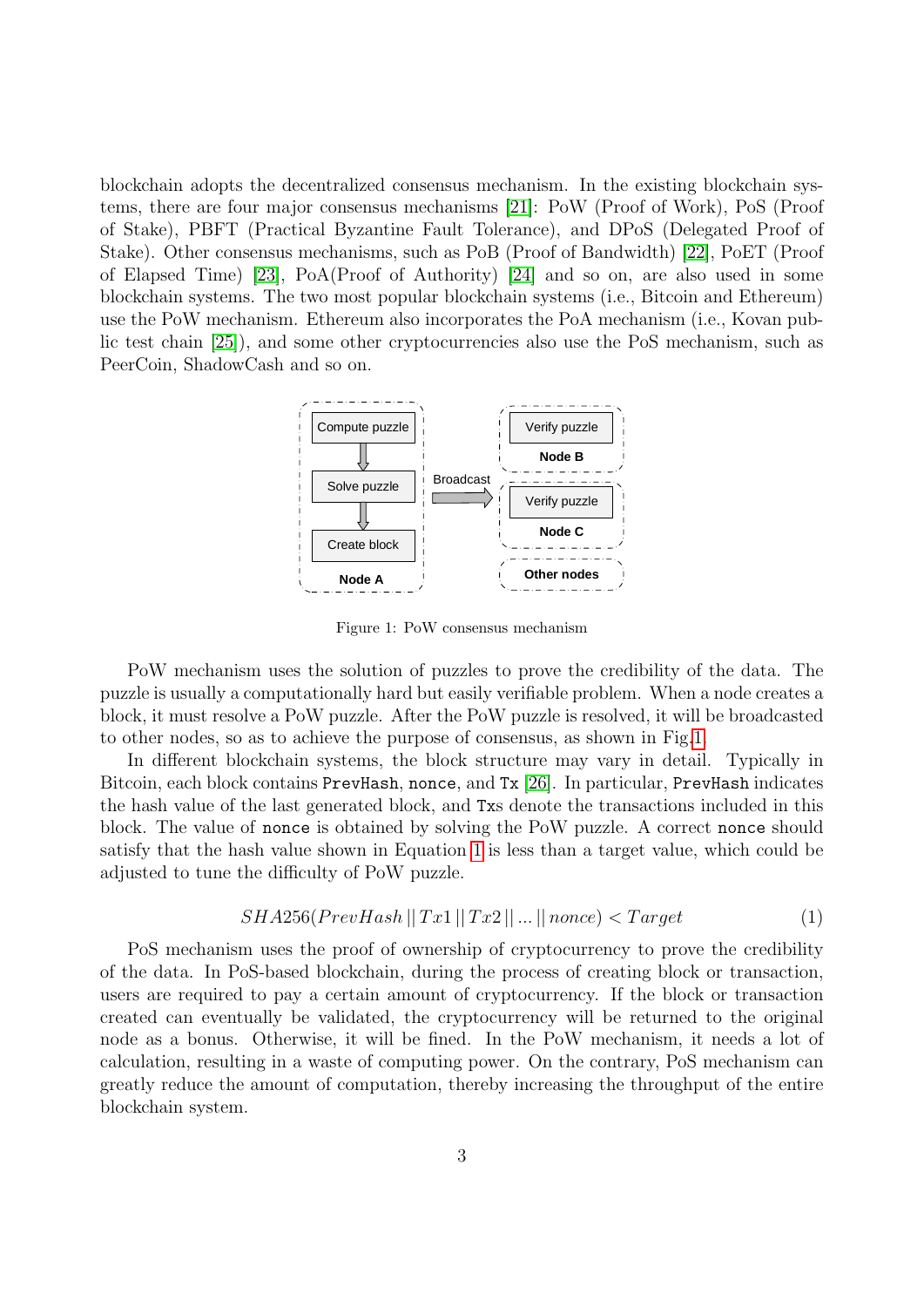blockchain adopts the decentralized consensus mechanism. In the existing blockchain systems, there are four major consensus mechanisms [\[21\]](#page-22-18): PoW (Proof of Work), PoS (Proof of Stake), PBFT (Practical Byzantine Fault Tolerance), and DPoS (Delegated Proof of Stake). Other consensus mechanisms, such as PoB (Proof of Bandwidth) [\[22\]](#page-22-19), PoET (Proof of Elapsed Time) [\[23\]](#page-22-20), PoA(Proof of Authority) [\[24\]](#page-22-21) and so on, are also used in some blockchain systems. The two most popular blockchain systems (i.e., Bitcoin and Ethereum) use the PoW mechanism. Ethereum also incorporates the PoA mechanism (i.e., Kovan public test chain [\[25\]](#page-22-22)), and some other cryptocurrencies also use the PoS mechanism, such as PeerCoin, ShadowCash and so on.



<span id="page-2-0"></span>Figure 1: PoW consensus mechanism

PoW mechanism uses the solution of puzzles to prove the credibility of the data. The puzzle is usually a computationally hard but easily verifiable problem. When a node creates a block, it must resolve a PoW puzzle. After the PoW puzzle is resolved, it will be broadcasted to other nodes, so as to achieve the purpose of consensus, as shown in Fig[.1.](#page-2-0)

In different blockchain systems, the block structure may vary in detail. Typically in Bitcoin, each block contains PrevHash, nonce, and Tx [\[26\]](#page-22-23). In particular, PrevHash indicates the hash value of the last generated block, and Txs denote the transactions included in this block. The value of nonce is obtained by solving the PoW puzzle. A correct nonce should satisfy that the hash value shown in Equation [1](#page-2-1) is less than a target value, which could be adjusted to tune the difficulty of PoW puzzle.

<span id="page-2-1"></span>
$$
SHA256(PrevHash || Tx1 || Tx2 || ... || nonce) < Target
$$
 (1)

PoS mechanism uses the proof of ownership of cryptocurrency to prove the credibility of the data. In PoS-based blockchain, during the process of creating block or transaction, users are required to pay a certain amount of cryptocurrency. If the block or transaction created can eventually be validated, the cryptocurrency will be returned to the original node as a bonus. Otherwise, it will be fined. In the PoW mechanism, it needs a lot of calculation, resulting in a waste of computing power. On the contrary, PoS mechanism can greatly reduce the amount of computation, thereby increasing the throughput of the entire blockchain system.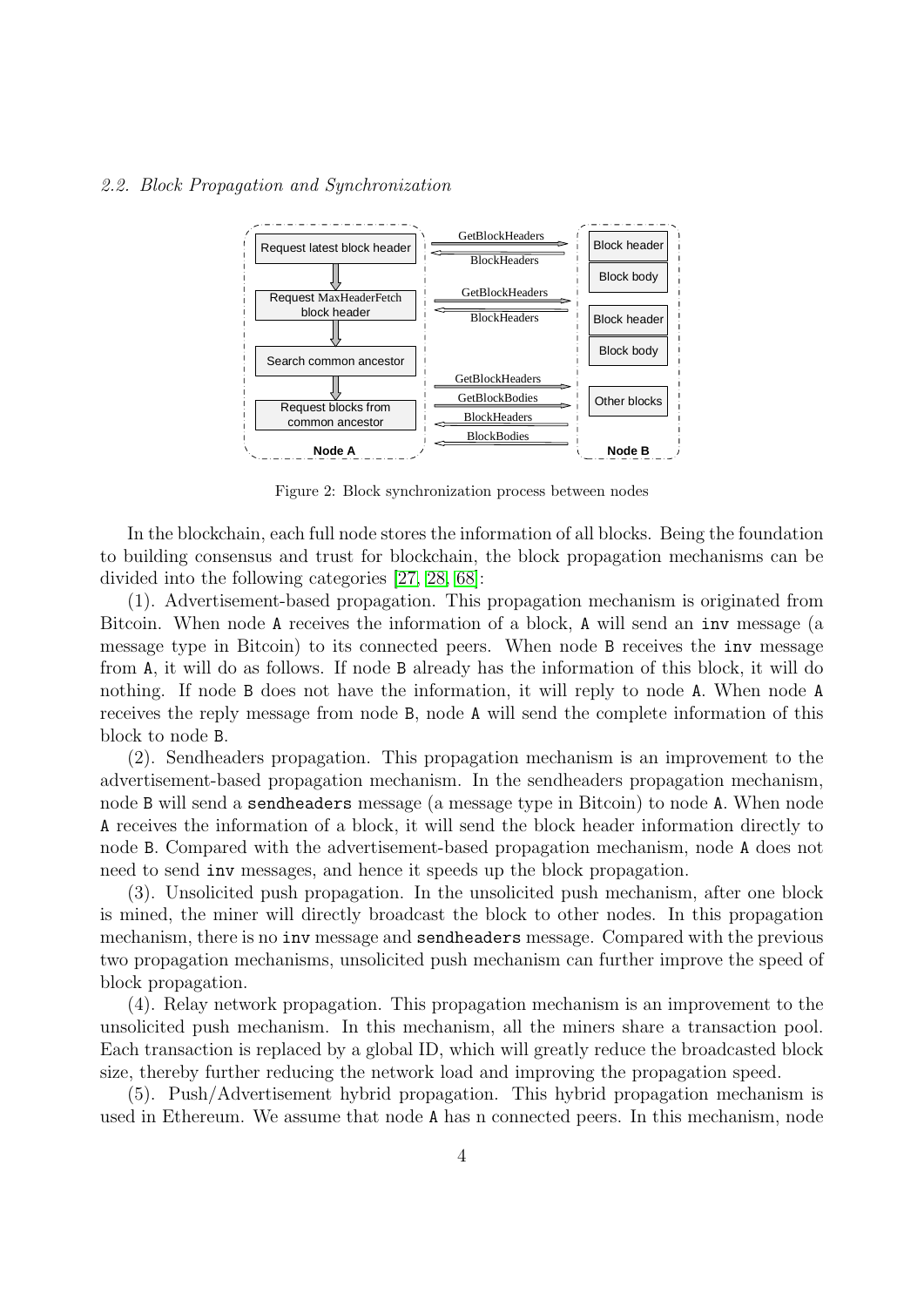#### 2.2. Block Propagation and Synchronization



<span id="page-3-0"></span>Figure 2: Block synchronization process between nodes

In the blockchain, each full node stores the information of all blocks. Being the foundation to building consensus and trust for blockchain, the block propagation mechanisms can be divided into the following categories [\[27,](#page-23-0) [28,](#page-23-1) [68\]](#page-23-2):

(1). Advertisement-based propagation. This propagation mechanism is originated from Bitcoin. When node A receives the information of a block, A will send an inv message (a message type in Bitcoin) to its connected peers. When node B receives the inv message from A, it will do as follows. If node B already has the information of this block, it will do nothing. If node B does not have the information, it will reply to node A. When node A receives the reply message from node B, node A will send the complete information of this block to node B.

(2). Sendheaders propagation. This propagation mechanism is an improvement to the advertisement-based propagation mechanism. In the sendheaders propagation mechanism, node B will send a sendheaders message (a message type in Bitcoin) to node A. When node A receives the information of a block, it will send the block header information directly to node B. Compared with the advertisement-based propagation mechanism, node A does not need to send inv messages, and hence it speeds up the block propagation.

(3). Unsolicited push propagation. In the unsolicited push mechanism, after one block is mined, the miner will directly broadcast the block to other nodes. In this propagation mechanism, there is no inv message and sendheaders message. Compared with the previous two propagation mechanisms, unsolicited push mechanism can further improve the speed of block propagation.

(4). Relay network propagation. This propagation mechanism is an improvement to the unsolicited push mechanism. In this mechanism, all the miners share a transaction pool. Each transaction is replaced by a global ID, which will greatly reduce the broadcasted block size, thereby further reducing the network load and improving the propagation speed.

(5). Push/Advertisement hybrid propagation. This hybrid propagation mechanism is used in Ethereum. We assume that node A has n connected peers. In this mechanism, node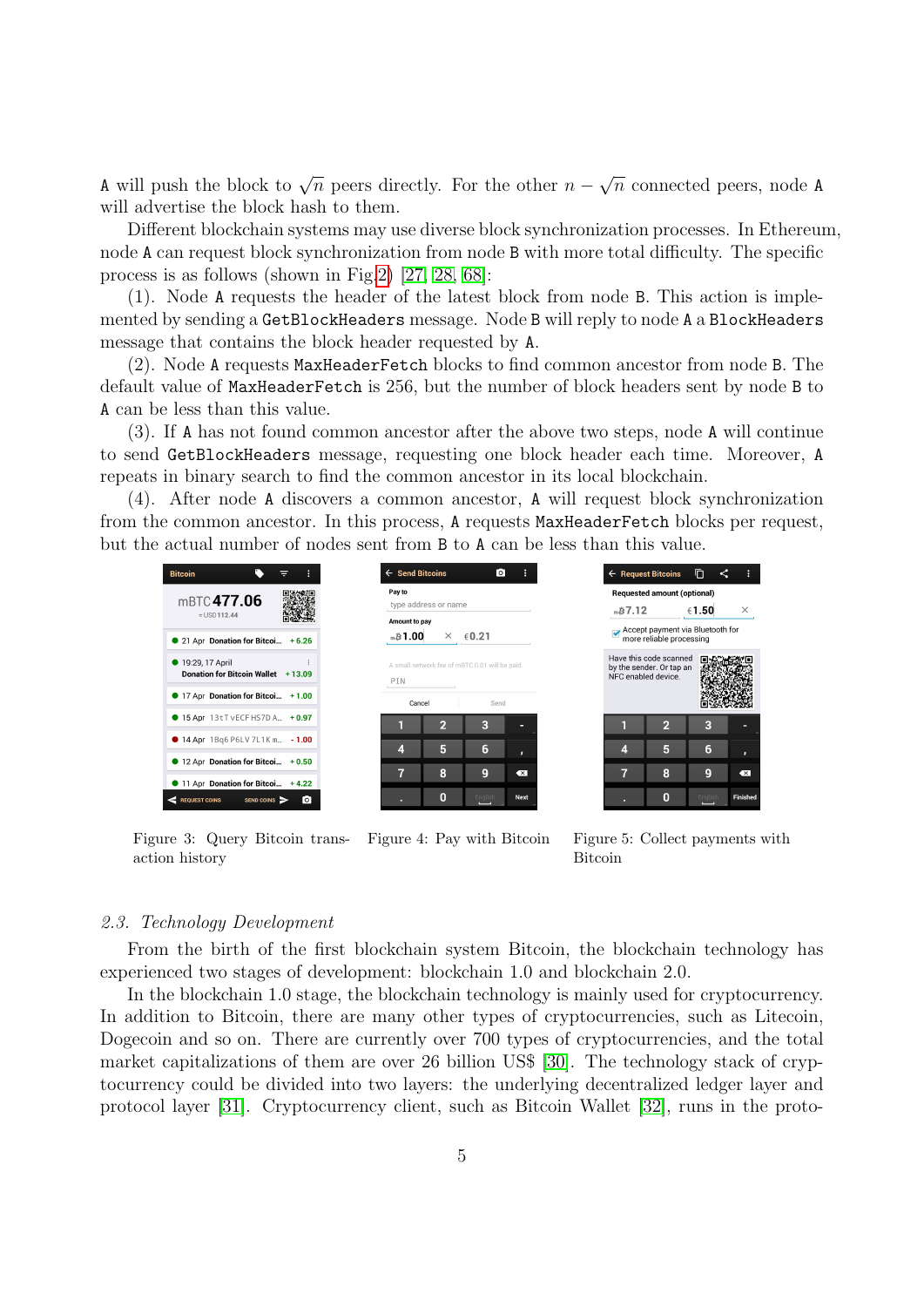A will push the block to  $\sqrt{n}$  peers directly. For the other  $n -$ √  $\overline{n}$  connected peers, node A will advertise the block hash to them.

Different blockchain systems may use diverse block synchronization processes. In Ethereum, node A can request block synchronization from node B with more total difficulty. The specific process is as follows (shown in Fig[.2\)](#page-3-0) [\[27,](#page-23-0) [28,](#page-23-1) [68\]](#page-23-2):

(1). Node A requests the header of the latest block from node B. This action is implemented by sending a GetBlockHeaders message. Node B will reply to node A a BlockHeaders message that contains the block header requested by A.

(2). Node A requests MaxHeaderFetch blocks to find common ancestor from node B. The default value of MaxHeaderFetch is 256, but the number of block headers sent by node B to A can be less than this value.

(3). If A has not found common ancestor after the above two steps, node A will continue to send GetBlockHeaders message, requesting one block header each time. Moreover, A repeats in binary search to find the common ancestor in its local blockchain.

(4). After node A discovers a common ancestor, A will request block synchronization from the common ancestor. In this process, A requests MaxHeaderFetch blocks per request, but the actual number of nodes sent from B to A can be less than this value.





<span id="page-4-0"></span>Figure 3: Query Bitcoin transaction history

<span id="page-4-1"></span> $B7.12$  $∈1.50$ Accept payment via Bluetooth for<br>more reliable processing Have this code scanned<br>by the sender. Or tap an<br>NFC enabled device.  $\overline{2}$ F  $\overline{4}$ 5 6 7 8  $\overline{\mathbf{X}}$  $\mathbf 0$ 

戶

 $\leftarrow$  Request Bitcoins

**Requested amount (optional)** 

Figure 4: Pay with Bitcoin Figure 5: Collect payments with Bitcoin

# 2.3. Technology Development

From the birth of the first blockchain system Bitcoin, the blockchain technology has experienced two stages of development: blockchain 1.0 and blockchain 2.0.

In the blockchain 1.0 stage, the blockchain technology is mainly used for cryptocurrency. In addition to Bitcoin, there are many other types of cryptocurrencies, such as Litecoin, Dogecoin and so on. There are currently over 700 types of cryptocurrencies, and the total market capitalizations of them are over 26 billion US\$ [\[30\]](#page-23-3). The technology stack of cryptocurrency could be divided into two layers: the underlying decentralized ledger layer and protocol layer [\[31\]](#page-23-4). Cryptocurrency client, such as Bitcoin Wallet [\[32\]](#page-23-5), runs in the proto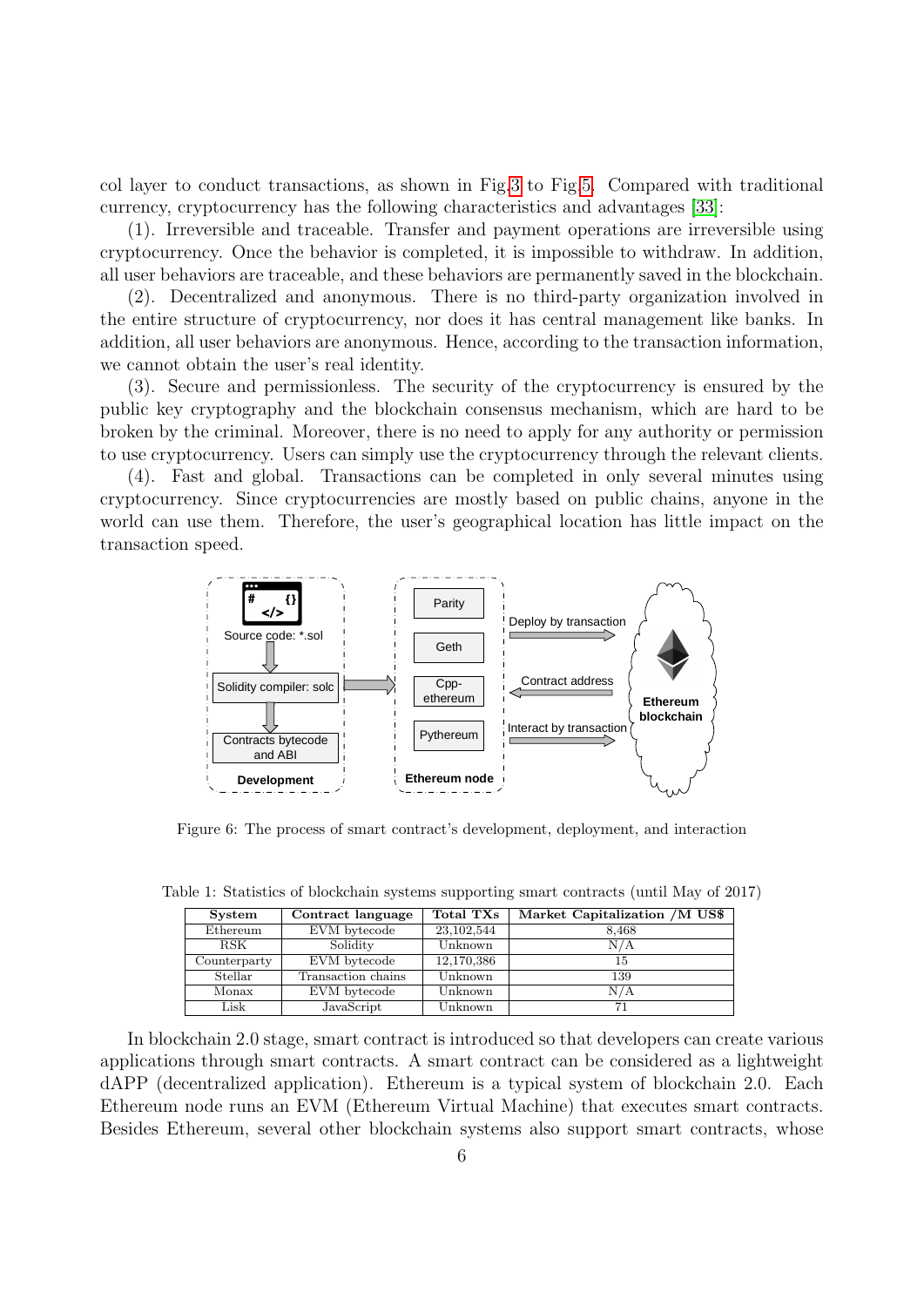col layer to conduct transactions, as shown in Fig[.3](#page-4-0) to Fig[.5.](#page-4-1) Compared with traditional currency, cryptocurrency has the following characteristics and advantages [\[33\]](#page-23-6):

(1). Irreversible and traceable. Transfer and payment operations are irreversible using cryptocurrency. Once the behavior is completed, it is impossible to withdraw. In addition, all user behaviors are traceable, and these behaviors are permanently saved in the blockchain.

(2). Decentralized and anonymous. There is no third-party organization involved in the entire structure of cryptocurrency, nor does it has central management like banks. In addition, all user behaviors are anonymous. Hence, according to the transaction information, we cannot obtain the user's real identity.

(3). Secure and permissionless. The security of the cryptocurrency is ensured by the public key cryptography and the blockchain consensus mechanism, which are hard to be broken by the criminal. Moreover, there is no need to apply for any authority or permission to use cryptocurrency. Users can simply use the cryptocurrency through the relevant clients.

(4). Fast and global. Transactions can be completed in only several minutes using cryptocurrency. Since cryptocurrencies are mostly based on public chains, anyone in the world can use them. Therefore, the user's geographical location has little impact on the transaction speed.



<span id="page-5-1"></span>Figure 6: The process of smart contract's development, deployment, and interaction

<span id="page-5-0"></span>

| System       | Contract language  | Total TXs    | Market Capitalization /M US\$ |
|--------------|--------------------|--------------|-------------------------------|
| Ethereum     | EVM bytecode       | 23, 102, 544 | 8,468                         |
| RSK          | Solidity           | Unknown      | N/A                           |
| Counterparty | EVM bytecode       | 12,170,386   | 15                            |
| Stellar      | Transaction chains | Unknown      | 139                           |
| Monax        | EVM bytecode       | Unknown      | N/A                           |
| Lisk         | JavaScript         | Unknown      | 71                            |

Table 1: Statistics of blockchain systems supporting smart contracts (until May of 2017)

In blockchain 2.0 stage, smart contract is introduced so that developers can create various applications through smart contracts. A smart contract can be considered as a lightweight dAPP (decentralized application). Ethereum is a typical system of blockchain 2.0. Each Ethereum node runs an EVM (Ethereum Virtual Machine) that executes smart contracts. Besides Ethereum, several other blockchain systems also support smart contracts, whose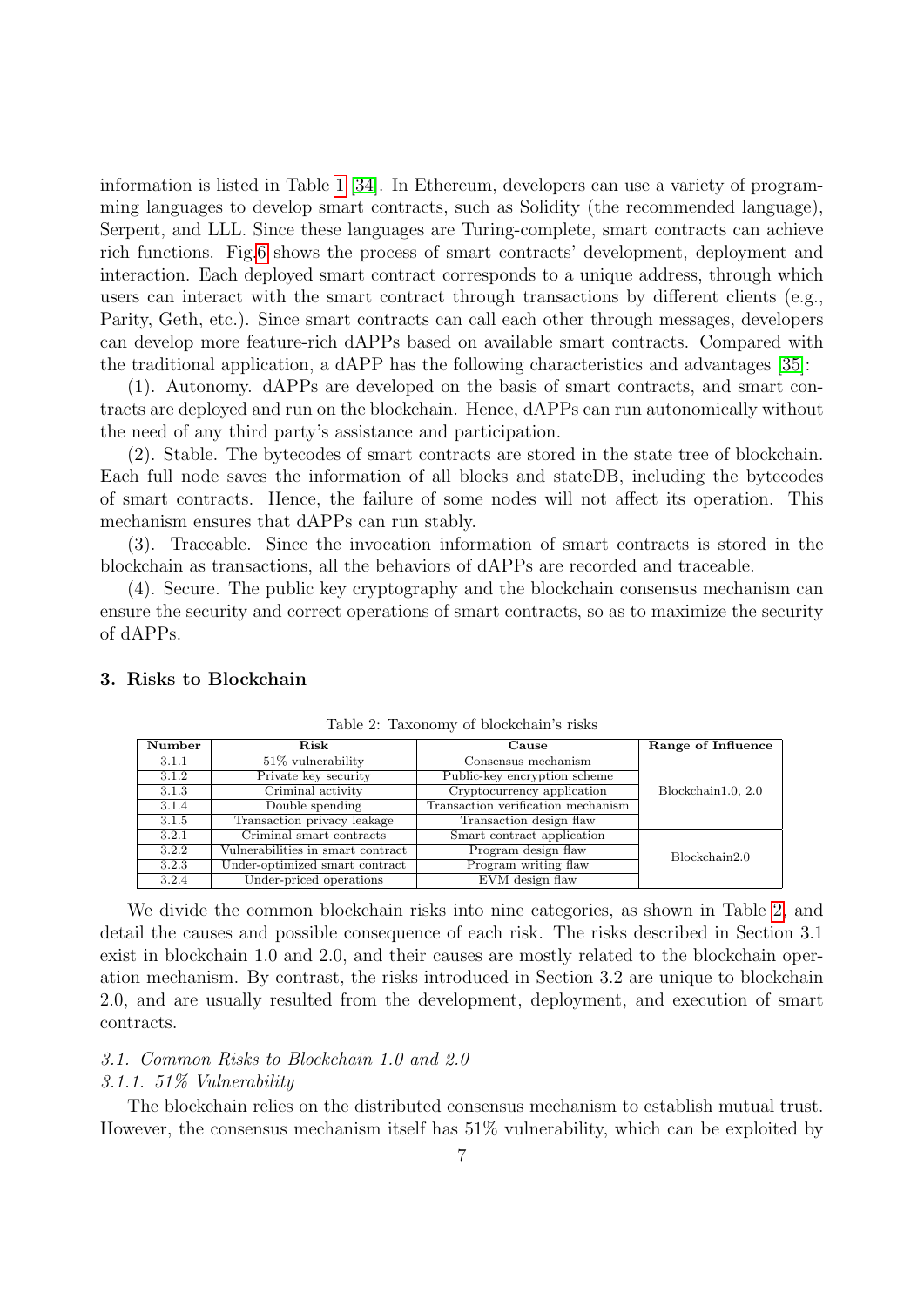information is listed in Table [1](#page-5-0) [\[34\]](#page-23-7). In Ethereum, developers can use a variety of programming languages to develop smart contracts, such as Solidity (the recommended language), Serpent, and LLL. Since these languages are Turing-complete, smart contracts can achieve rich functions. Fig[.6](#page-5-1) shows the process of smart contracts' development, deployment and interaction. Each deployed smart contract corresponds to a unique address, through which users can interact with the smart contract through transactions by different clients (e.g., Parity, Geth, etc.). Since smart contracts can call each other through messages, developers can develop more feature-rich dAPPs based on available smart contracts. Compared with the traditional application, a dAPP has the following characteristics and advantages [\[35\]](#page-23-8):

(1). Autonomy. dAPPs are developed on the basis of smart contracts, and smart contracts are deployed and run on the blockchain. Hence, dAPPs can run autonomically without the need of any third party's assistance and participation.

(2). Stable. The bytecodes of smart contracts are stored in the state tree of blockchain. Each full node saves the information of all blocks and stateDB, including the bytecodes of smart contracts. Hence, the failure of some nodes will not affect its operation. This mechanism ensures that dAPPs can run stably.

(3). Traceable. Since the invocation information of smart contracts is stored in the blockchain as transactions, all the behaviors of dAPPs are recorded and traceable.

(4). Secure. The public key cryptography and the blockchain consensus mechanism can ensure the security and correct operations of smart contracts, so as to maximize the security of dAPPs.

| Number | Risk                              | Cause                              | Range of Influence |
|--------|-----------------------------------|------------------------------------|--------------------|
| 3.1.1  | $51\%$ vulnerability              | Consensus mechanism                |                    |
| 3.1.2  | Private key security              | Public-key encryption scheme       |                    |
| 3.1.3  | Criminal activity                 | Cryptocurrency application         | Blockchain1.0, 2.0 |
| 3.1.4  | Double spending                   | Transaction verification mechanism |                    |
| 3.1.5  | Transaction privacy leakage       | Transaction design flaw            |                    |
| 3.2.1  | Criminal smart contracts          | Smart contract application         |                    |
| 3.2.2  | Vulnerabilities in smart contract | Program design flaw                | Blockchain2.0      |
| 3.2.3  | Under-optimized smart contract    | Program writing flaw               |                    |
| 3.2.4  | Under-priced operations           | EVM design flaw                    |                    |

## <span id="page-6-0"></span>3. Risks to Blockchain

<span id="page-6-1"></span>Table 2: Taxonomy of blockchain's risks

We divide the common blockchain risks into nine categories, as shown in Table [2,](#page-6-1) and detail the causes and possible consequence of each risk. The risks described in Section 3.1 exist in blockchain 1.0 and 2.0, and their causes are mostly related to the blockchain operation mechanism. By contrast, the risks introduced in Section 3.2 are unique to blockchain 2.0, and are usually resulted from the development, deployment, and execution of smart contracts.

# 3.1. Common Risks to Blockchain 1.0 and 2.0

#### <span id="page-6-2"></span>3.1.1. 51% Vulnerability

The blockchain relies on the distributed consensus mechanism to establish mutual trust. However, the consensus mechanism itself has 51% vulnerability, which can be exploited by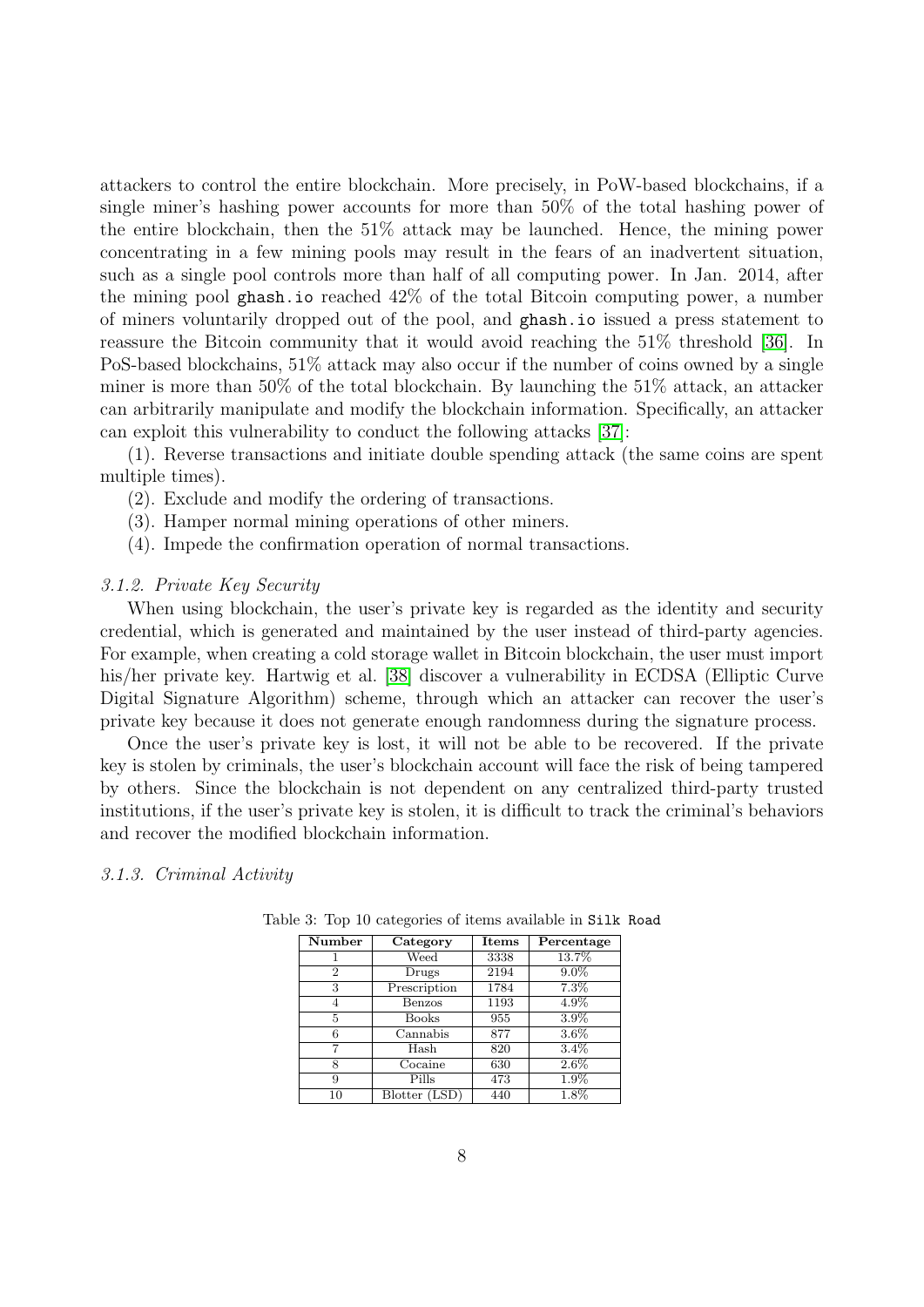attackers to control the entire blockchain. More precisely, in PoW-based blockchains, if a single miner's hashing power accounts for more than 50% of the total hashing power of the entire blockchain, then the 51% attack may be launched. Hence, the mining power concentrating in a few mining pools may result in the fears of an inadvertent situation, such as a single pool controls more than half of all computing power. In Jan. 2014, after the mining pool ghash.io reached 42% of the total Bitcoin computing power, a number of miners voluntarily dropped out of the pool, and ghash.io issued a press statement to reassure the Bitcoin community that it would avoid reaching the 51% threshold [\[36\]](#page-23-9). In PoS-based blockchains, 51% attack may also occur if the number of coins owned by a single miner is more than 50% of the total blockchain. By launching the 51% attack, an attacker can arbitrarily manipulate and modify the blockchain information. Specifically, an attacker can exploit this vulnerability to conduct the following attacks [\[37\]](#page-23-10):

(1). Reverse transactions and initiate double spending attack (the same coins are spent multiple times).

- (2). Exclude and modify the ordering of transactions.
- (3). Hamper normal mining operations of other miners.
- (4). Impede the confirmation operation of normal transactions.

#### 3.1.2. Private Key Security

When using blockchain, the user's private key is regarded as the identity and security credential, which is generated and maintained by the user instead of third-party agencies. For example, when creating a cold storage wallet in Bitcoin blockchain, the user must import his/her private key. Hartwig et al. [\[38\]](#page-23-11) discover a vulnerability in ECDSA (Elliptic Curve Digital Signature Algorithm) scheme, through which an attacker can recover the user's private key because it does not generate enough randomness during the signature process.

Once the user's private key is lost, it will not be able to be recovered. If the private key is stolen by criminals, the user's blockchain account will face the risk of being tampered by others. Since the blockchain is not dependent on any centralized third-party trusted institutions, if the user's private key is stolen, it is difficult to track the criminal's behaviors and recover the modified blockchain information.

#### <span id="page-7-1"></span>3.1.3. Criminal Activity

<span id="page-7-0"></span>

| Number         | Category      | ${\bf Items}$ | Percentage |
|----------------|---------------|---------------|------------|
|                | Weed          | 3338          | 13.7%      |
| $\overline{2}$ | Drugs         | 2194          | $9.0\%$    |
| 3              | Prescription  | 1784          | $7.3\%$    |
|                | Benzos        | 1193          | 4.9%       |
| 5              | Books         | 955           | 3.9%       |
| 6              | Cannabis      | 877           | $3.6\%$    |
|                | Hash          | 820           | $3.4\%$    |
| 8              | Cocaine       | 630           | $2.6\%$    |
| 9              | Pills         | 473           | $1.9\%$    |
| 10             | Blotter (LSD) | 440           | $1.8\%$    |

Table 3: Top 10 categories of items available in Silk Road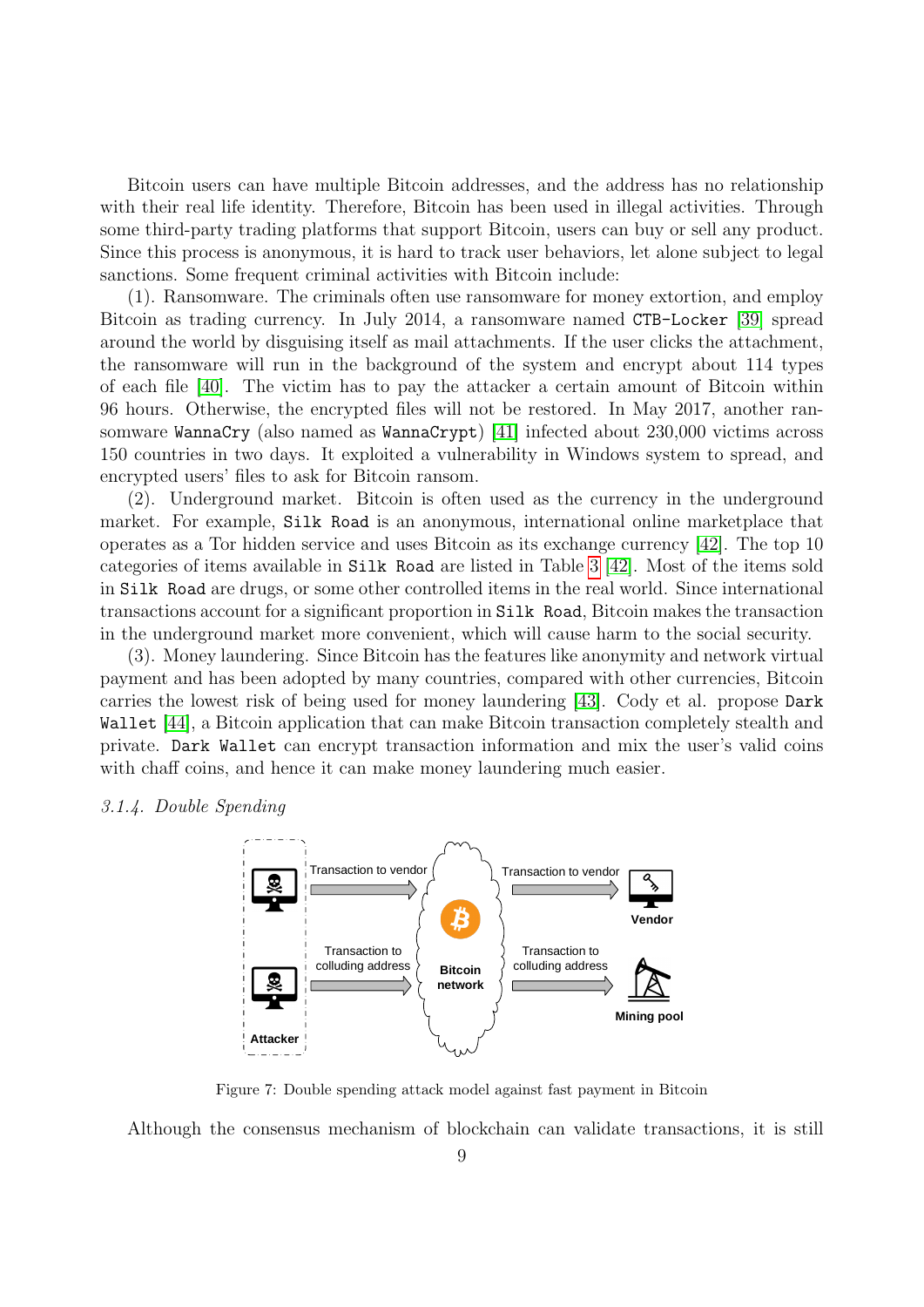Bitcoin users can have multiple Bitcoin addresses, and the address has no relationship with their real life identity. Therefore, Bitcoin has been used in illegal activities. Through some third-party trading platforms that support Bitcoin, users can buy or sell any product. Since this process is anonymous, it is hard to track user behaviors, let alone subject to legal sanctions. Some frequent criminal activities with Bitcoin include:

(1). Ransomware. The criminals often use ransomware for money extortion, and employ Bitcoin as trading currency. In July 2014, a ransomware named CTB-Locker [\[39\]](#page-23-12) spread around the world by disguising itself as mail attachments. If the user clicks the attachment, the ransomware will run in the background of the system and encrypt about 114 types of each file [\[40\]](#page-23-13). The victim has to pay the attacker a certain amount of Bitcoin within 96 hours. Otherwise, the encrypted files will not be restored. In May 2017, another ransomware WannaCry (also named as WannaCrypt) [\[41\]](#page-23-14) infected about 230,000 victims across 150 countries in two days. It exploited a vulnerability in Windows system to spread, and encrypted users' files to ask for Bitcoin ransom.

(2). Underground market. Bitcoin is often used as the currency in the underground market. For example, Silk Road is an anonymous, international online marketplace that operates as a Tor hidden service and uses Bitcoin as its exchange currency [\[42\]](#page-23-15). The top 10 categories of items available in Silk Road are listed in Table [3](#page-7-0) [\[42\]](#page-23-15). Most of the items sold in Silk Road are drugs, or some other controlled items in the real world. Since international transactions account for a significant proportion in Silk Road, Bitcoin makes the transaction in the underground market more convenient, which will cause harm to the social security.

(3). Money laundering. Since Bitcoin has the features like anonymity and network virtual payment and has been adopted by many countries, compared with other currencies, Bitcoin carries the lowest risk of being used for money laundering [\[43\]](#page-23-16). Cody et al. propose Dark Wallet [\[44\]](#page-23-17), a Bitcoin application that can make Bitcoin transaction completely stealth and private. Dark Wallet can encrypt transaction information and mix the user's valid coins with chaff coins, and hence it can make money laundering much easier.

## 3.1.4. Double Spending



<span id="page-8-0"></span>Figure 7: Double spending attack model against fast payment in Bitcoin

Although the consensus mechanism of blockchain can validate transactions, it is still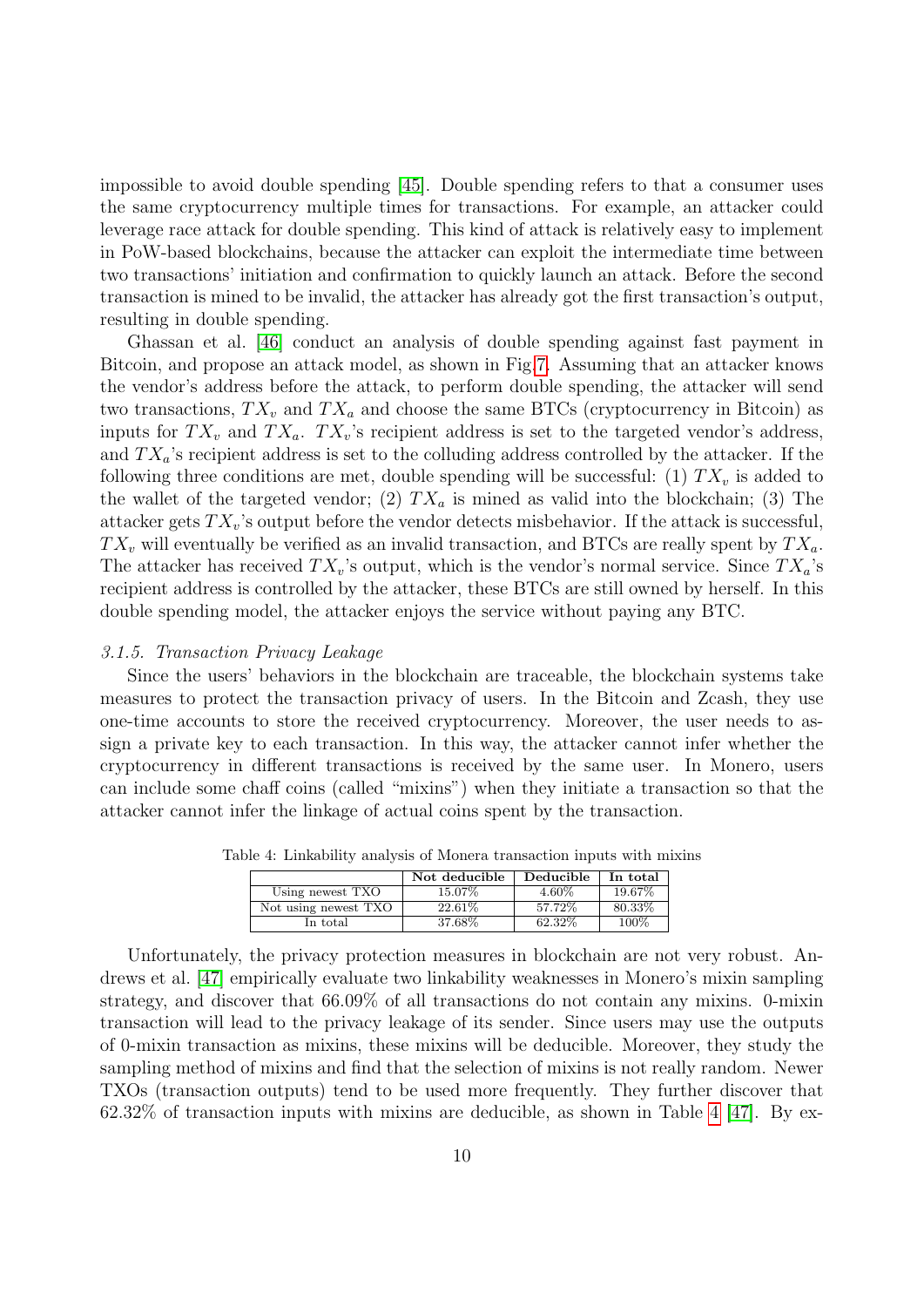impossible to avoid double spending [\[45\]](#page-23-18). Double spending refers to that a consumer uses the same cryptocurrency multiple times for transactions. For example, an attacker could leverage race attack for double spending. This kind of attack is relatively easy to implement in PoW-based blockchains, because the attacker can exploit the intermediate time between two transactions' initiation and confirmation to quickly launch an attack. Before the second transaction is mined to be invalid, the attacker has already got the first transaction's output, resulting in double spending.

Ghassan et al. [\[46\]](#page-23-19) conduct an analysis of double spending against fast payment in Bitcoin, and propose an attack model, as shown in Fig[.7.](#page-8-0) Assuming that an attacker knows the vendor's address before the attack, to perform double spending, the attacker will send two transactions,  $TX_v$  and  $TX_a$  and choose the same BTCs (cryptocurrency in Bitcoin) as inputs for  $TX_v$  and  $TX_a$ .  $TX_v$ 's recipient address is set to the targeted vendor's address, and  $TX_a$ 's recipient address is set to the colluding address controlled by the attacker. If the following three conditions are met, double spending will be successful: (1)  $TX_v$  is added to the wallet of the targeted vendor; (2)  $TX_a$  is mined as valid into the blockchain; (3) The attacker gets  $TX_v$ 's output before the vendor detects misbehavior. If the attack is successful,  $TX_v$  will eventually be verified as an invalid transaction, and BTCs are really spent by  $TX_a$ . The attacker has received  $TX_v$ 's output, which is the vendor's normal service. Since  $TX_a$ 's recipient address is controlled by the attacker, these BTCs are still owned by herself. In this double spending model, the attacker enjoys the service without paying any BTC.

## <span id="page-9-1"></span>3.1.5. Transaction Privacy Leakage

Since the users' behaviors in the blockchain are traceable, the blockchain systems take measures to protect the transaction privacy of users. In the Bitcoin and Zcash, they use one-time accounts to store the received cryptocurrency. Moreover, the user needs to assign a private key to each transaction. In this way, the attacker cannot infer whether the cryptocurrency in different transactions is received by the same user. In Monero, users can include some chaff coins (called "mixins") when they initiate a transaction so that the attacker cannot infer the linkage of actual coins spent by the transaction.

<span id="page-9-0"></span>

|                      | Not deducible | Deducible | In total |
|----------------------|---------------|-----------|----------|
| Using newest TXO     | 15.07\%       | $4.60\%$  | 19.67%   |
| Not using newest TXO | 22.61\%       | 57.72\%   | 80.33%   |
| In total             | 37.68%        | 62.32%    | 100%     |

Table 4: Linkability analysis of Monera transaction inputs with mixins

Unfortunately, the privacy protection measures in blockchain are not very robust. Andrews et al. [\[47\]](#page-23-20) empirically evaluate two linkability weaknesses in Monero's mixin sampling strategy, and discover that 66.09% of all transactions do not contain any mixins. 0-mixin transaction will lead to the privacy leakage of its sender. Since users may use the outputs of 0-mixin transaction as mixins, these mixins will be deducible. Moreover, they study the sampling method of mixins and find that the selection of mixins is not really random. Newer TXOs (transaction outputs) tend to be used more frequently. They further discover that  $62.32\%$  of transaction inputs with mixins are deducible, as shown in Table [4](#page-9-0) [\[47\]](#page-23-20). By ex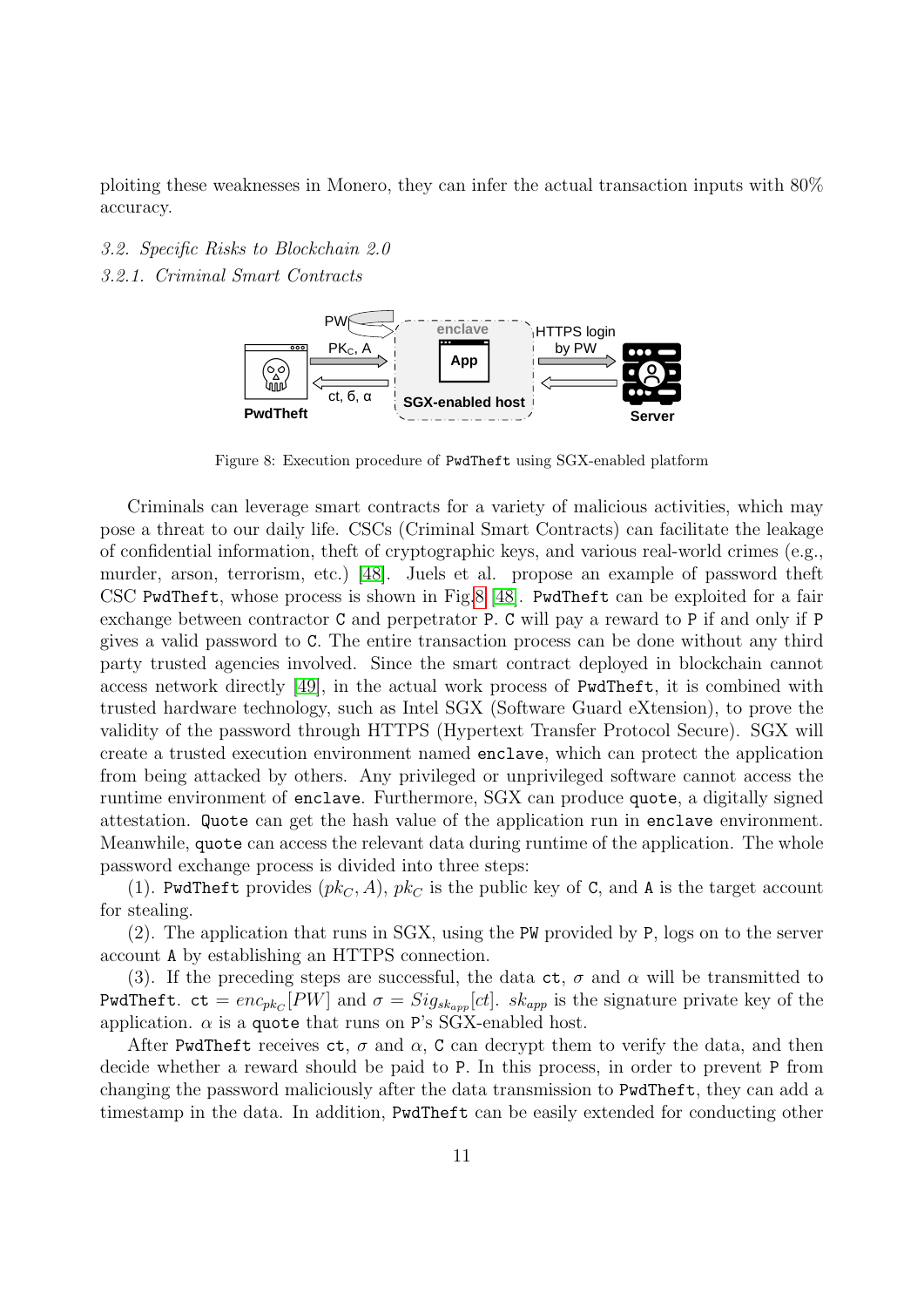ploiting these weaknesses in Monero, they can infer the actual transaction inputs with 80% accuracy.

3.2. Specific Risks to Blockchain 2.0 3.2.1. Criminal Smart Contracts



<span id="page-10-0"></span>Figure 8: Execution procedure of PwdTheft using SGX-enabled platform

Criminals can leverage smart contracts for a variety of malicious activities, which may pose a threat to our daily life. CSCs (Criminal Smart Contracts) can facilitate the leakage of confidential information, theft of cryptographic keys, and various real-world crimes (e.g., murder, arson, terrorism, etc.) [\[48\]](#page-23-21). Juels et al. propose an example of password theft CSC PwdTheft, whose process is shown in Fig[.8](#page-10-0) [\[48\]](#page-23-21). PwdTheft can be exploited for a fair exchange between contractor C and perpetrator P. C will pay a reward to P if and only if P gives a valid password to C. The entire transaction process can be done without any third party trusted agencies involved. Since the smart contract deployed in blockchain cannot access network directly [\[49\]](#page-23-22), in the actual work process of PwdTheft, it is combined with trusted hardware technology, such as Intel SGX (Software Guard eXtension), to prove the validity of the password through HTTPS (Hypertext Transfer Protocol Secure). SGX will create a trusted execution environment named enclave, which can protect the application from being attacked by others. Any privileged or unprivileged software cannot access the runtime environment of enclave. Furthermore, SGX can produce quote, a digitally signed attestation. Quote can get the hash value of the application run in enclave environment. Meanwhile, quote can access the relevant data during runtime of the application. The whole password exchange process is divided into three steps:

(1). PwdTheft provides  $(pk_C, A)$ ,  $pk_C$  is the public key of C, and A is the target account for stealing.

(2). The application that runs in SGX, using the PW provided by P, logs on to the server account A by establishing an HTTPS connection.

(3). If the preceding steps are successful, the data  $ct$ ,  $\sigma$  and  $\alpha$  will be transmitted to PwdTheft.  $ct = enc_{pk_C}[PW]$  and  $\sigma = Sig_{sk_{app}}[ct]$ .  $sk_{app}$  is the signature private key of the application.  $\alpha$  is a quote that runs on P's SGX-enabled host.

After PwdTheft receives  $ct$ ,  $\sigma$  and  $\alpha$ , C can decrypt them to verify the data, and then decide whether a reward should be paid to P. In this process, in order to prevent P from changing the password maliciously after the data transmission to PwdTheft, they can add a timestamp in the data. In addition, PwdTheft can be easily extended for conducting other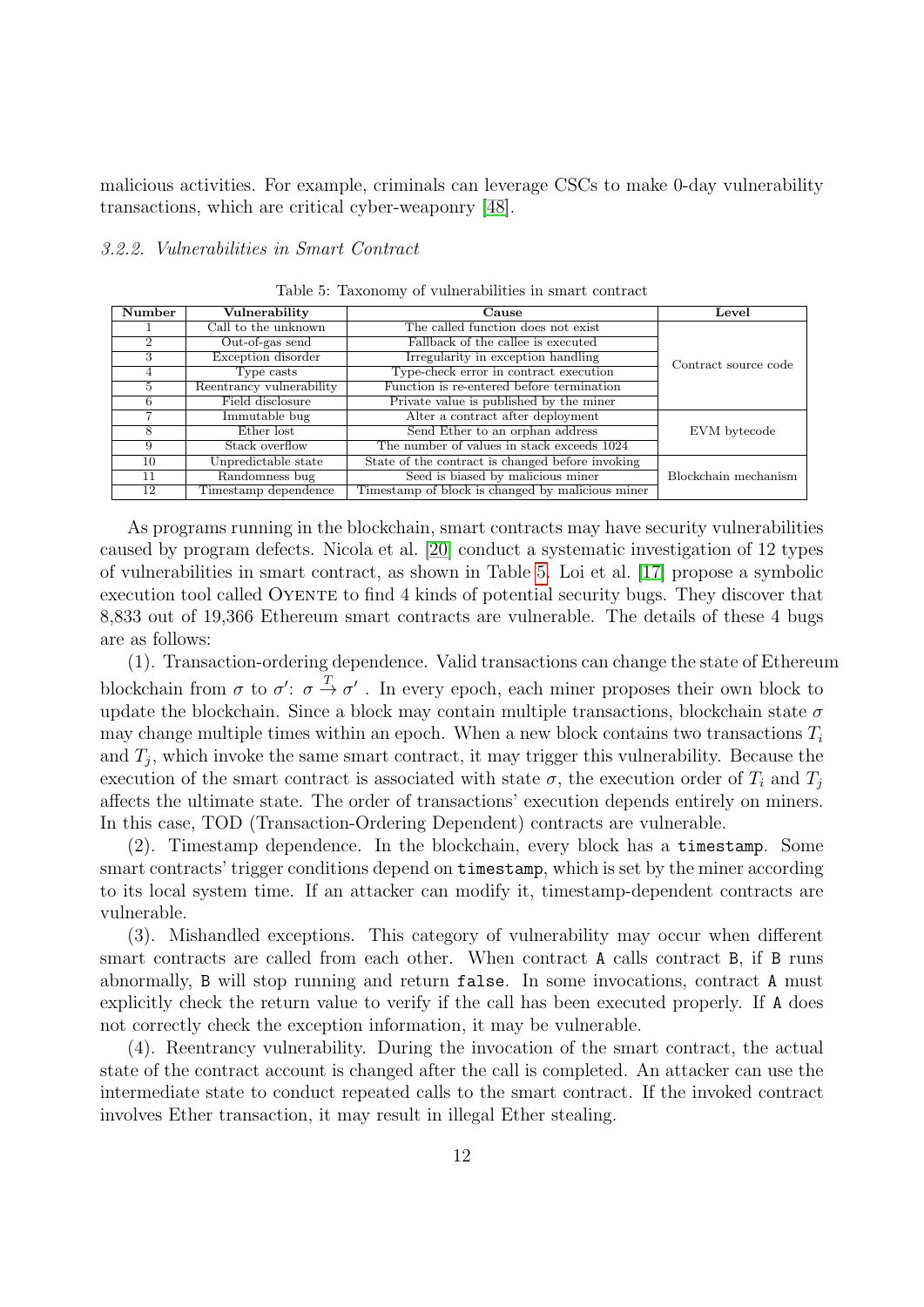malicious activities. For example, criminals can leverage CSCs to make 0-day vulnerability transactions, which are critical cyber-weaponry [\[48\]](#page-23-21).

# <span id="page-11-1"></span>3.2.2. Vulnerabilities in Smart Contract

| Number | Vulnerability            | Cause                                            | Level                |
|--------|--------------------------|--------------------------------------------------|----------------------|
|        | Call to the unknown      | The called function does not exist               |                      |
| 2      | Out-of-gas send          | Fallback of the callee is executed               |                      |
| 3      | Exception disorder       | Irregularity in exception handling               | Contract source code |
| 4      | Type casts               | Type-check error in contract execution           |                      |
| 5      | Reentrancy vulnerability | Function is re-entered before termination        |                      |
| 6      | Field disclosure         | Private value is published by the miner          |                      |
|        | Immutable bug            | Alter a contract after deployment                |                      |
| 8      | Ether lost               | Send Ether to an orphan address                  | EVM bytecode         |
| 9      | Stack overflow           | The number of values in stack exceeds 1024       |                      |
| 10     | Unpredictable state      | State of the contract is changed before invoking |                      |
| 11     | Randomness bug           | Seed is biased by malicious miner                | Blockchain mechanism |
| 12     | Timestamp dependence     | Timestamp of block is changed by malicious miner |                      |

<span id="page-11-0"></span>Table 5: Taxonomy of vulnerabilities in smart contract

As programs running in the blockchain, smart contracts may have security vulnerabilities caused by program defects. Nicola et al. [\[20\]](#page-22-17) conduct a systematic investigation of 12 types of vulnerabilities in smart contract, as shown in Table [5.](#page-11-0) Loi et al. [\[17\]](#page-22-14) propose a symbolic execution tool called OYENTE to find 4 kinds of potential security bugs. They discover that 8,833 out of 19,366 Ethereum smart contracts are vulnerable. The details of these 4 bugs are as follows:

(1). Transaction-ordering dependence. Valid transactions can change the state of Ethereum blockchain from  $\sigma$  to  $\sigma' : \sigma \stackrel{T}{\to} \sigma'$ . In every epoch, each miner proposes their own block to update the blockchain. Since a block may contain multiple transactions, blockchain state  $\sigma$ may change multiple times within an epoch. When a new block contains two transactions  $T_i$ and  $T_j$ , which invoke the same smart contract, it may trigger this vulnerability. Because the execution of the smart contract is associated with state  $\sigma$ , the execution order of  $T_i$  and  $T_j$ affects the ultimate state. The order of transactions' execution depends entirely on miners. In this case, TOD (Transaction-Ordering Dependent) contracts are vulnerable.

(2). Timestamp dependence. In the blockchain, every block has a timestamp. Some smart contracts' trigger conditions depend on timestamp, which is set by the miner according to its local system time. If an attacker can modify it, timestamp-dependent contracts are vulnerable.

(3). Mishandled exceptions. This category of vulnerability may occur when different smart contracts are called from each other. When contract A calls contract B, if B runs abnormally, B will stop running and return false. In some invocations, contract A must explicitly check the return value to verify if the call has been executed properly. If A does not correctly check the exception information, it may be vulnerable.

(4). Reentrancy vulnerability. During the invocation of the smart contract, the actual state of the contract account is changed after the call is completed. An attacker can use the intermediate state to conduct repeated calls to the smart contract. If the invoked contract involves Ether transaction, it may result in illegal Ether stealing.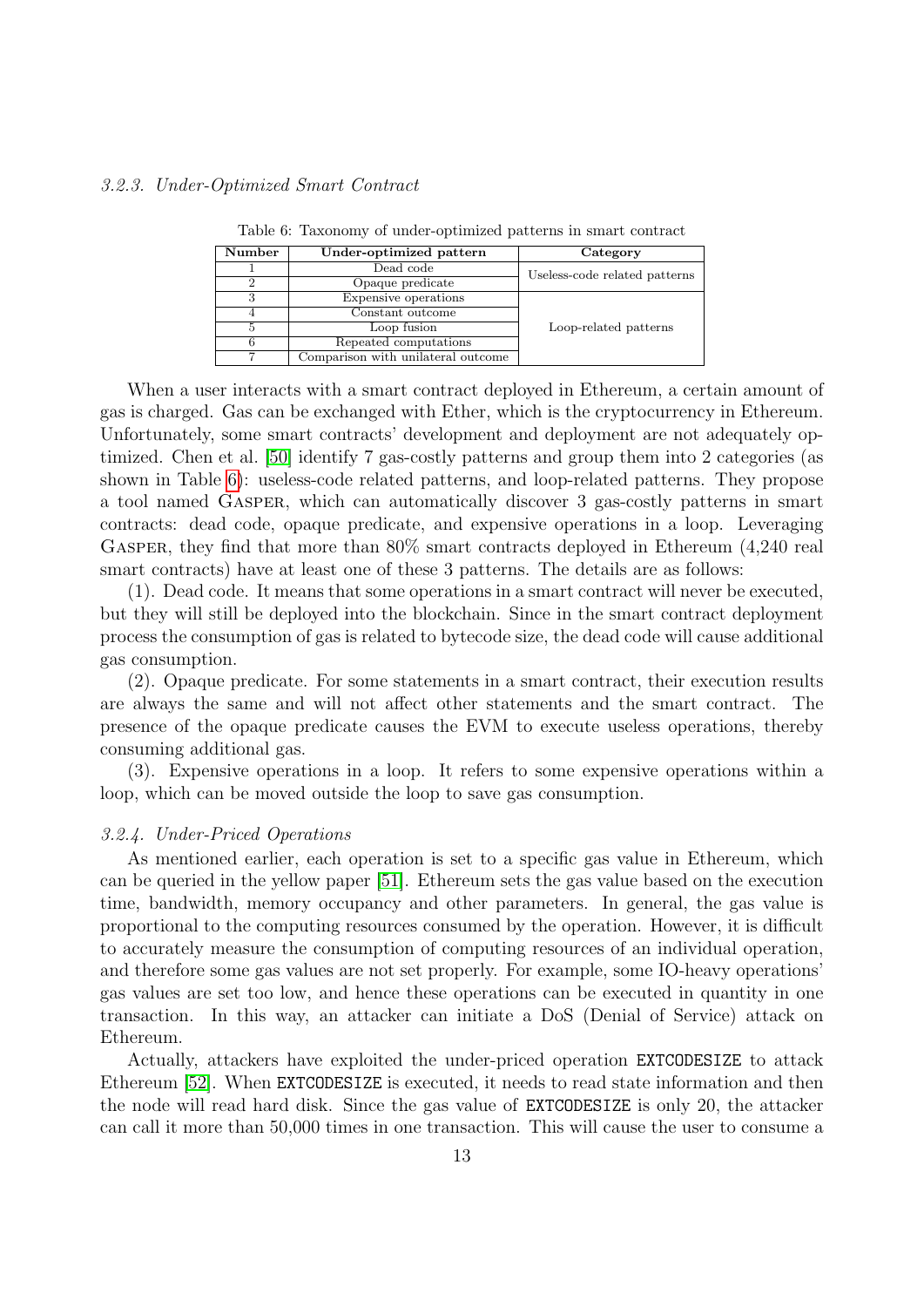| Number | Under-optimized pattern            | Category                      |
|--------|------------------------------------|-------------------------------|
|        | Dead code                          | Useless-code related patterns |
|        | Opaque predicate                   |                               |
|        | Expensive operations               |                               |
|        | Constant outcome                   |                               |
|        | Loop fusion                        | Loop-related patterns         |
|        | Repeated computations              |                               |
|        | Comparison with unilateral outcome |                               |

<span id="page-12-0"></span>Table 6: Taxonomy of under-optimized patterns in smart contract

When a user interacts with a smart contract deployed in Ethereum, a certain amount of gas is charged. Gas can be exchanged with Ether, which is the cryptocurrency in Ethereum. Unfortunately, some smart contracts' development and deployment are not adequately optimized. Chen et al. [\[50\]](#page-23-23) identify 7 gas-costly patterns and group them into 2 categories (as shown in Table [6\)](#page-12-0): useless-code related patterns, and loop-related patterns. They propose a tool named Gasper, which can automatically discover 3 gas-costly patterns in smart contracts: dead code, opaque predicate, and expensive operations in a loop. Leveraging GASPER, they find that more than  $80\%$  smart contracts deployed in Ethereum (4,240 real smart contracts) have at least one of these 3 patterns. The details are as follows:

(1). Dead code. It means that some operations in a smart contract will never be executed, but they will still be deployed into the blockchain. Since in the smart contract deployment process the consumption of gas is related to bytecode size, the dead code will cause additional gas consumption.

(2). Opaque predicate. For some statements in a smart contract, their execution results are always the same and will not affect other statements and the smart contract. The presence of the opaque predicate causes the EVM to execute useless operations, thereby consuming additional gas.

(3). Expensive operations in a loop. It refers to some expensive operations within a loop, which can be moved outside the loop to save gas consumption.

## 3.2.4. Under-Priced Operations

As mentioned earlier, each operation is set to a specific gas value in Ethereum, which can be queried in the yellow paper [\[51\]](#page-24-0). Ethereum sets the gas value based on the execution time, bandwidth, memory occupancy and other parameters. In general, the gas value is proportional to the computing resources consumed by the operation. However, it is difficult to accurately measure the consumption of computing resources of an individual operation, and therefore some gas values are not set properly. For example, some IO-heavy operations' gas values are set too low, and hence these operations can be executed in quantity in one transaction. In this way, an attacker can initiate a DoS (Denial of Service) attack on Ethereum.

Actually, attackers have exploited the under-priced operation EXTCODESIZE to attack Ethereum [\[52\]](#page-24-1). When EXTCODESIZE is executed, it needs to read state information and then the node will read hard disk. Since the gas value of EXTCODESIZE is only 20, the attacker can call it more than 50,000 times in one transaction. This will cause the user to consume a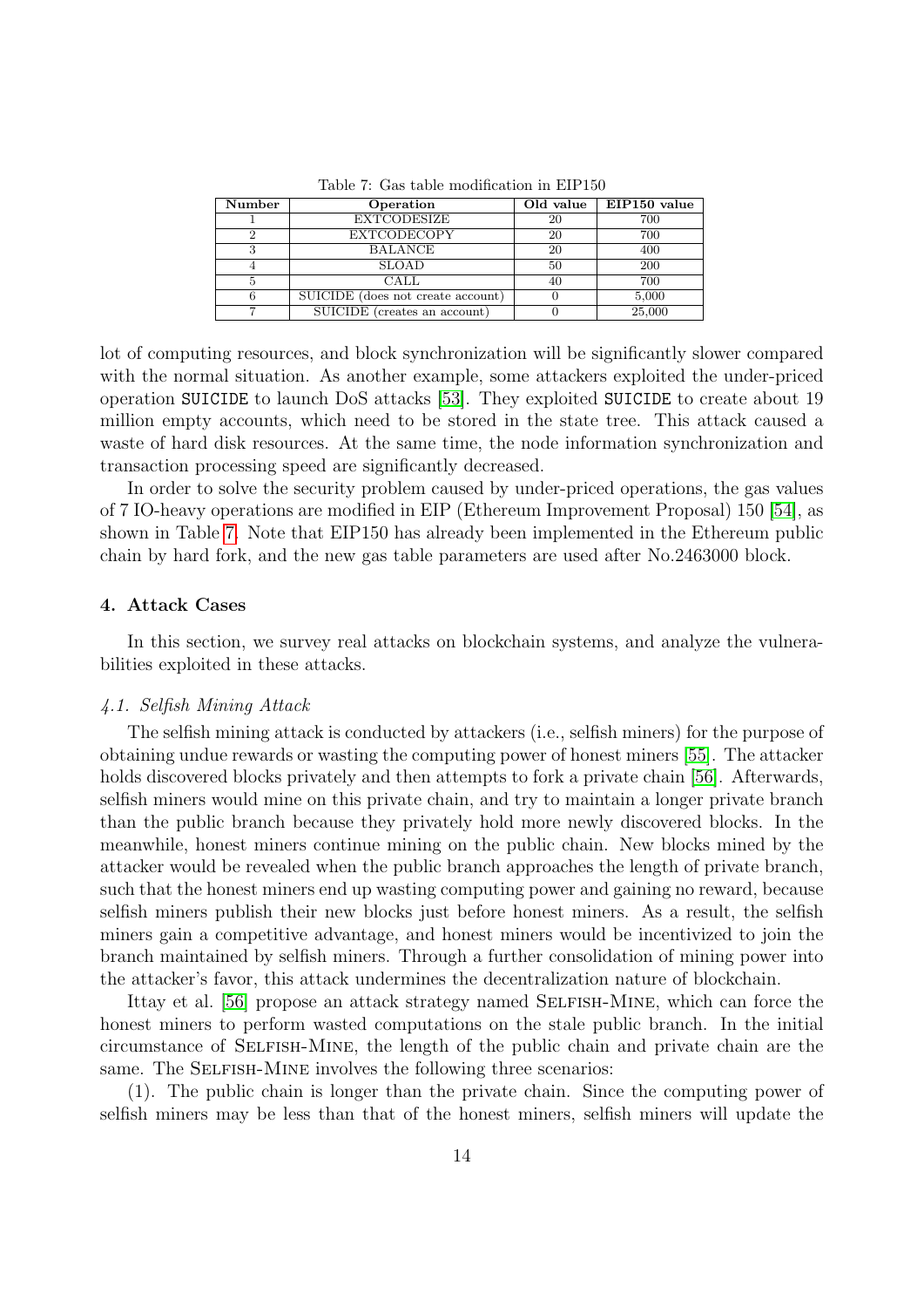| Number | Operation                         | Old value | EIP150 value |
|--------|-----------------------------------|-----------|--------------|
|        | <b>EXTCODESIZE</b>                | 20        | 700          |
|        | <b>EXTCODECOPY</b>                | 20        | 700          |
|        | <b>BALANCE</b>                    | 20        | 400          |
|        | <b>SLOAD</b>                      | 50        | 200          |
|        | CALL                              | 40        | 700          |
|        | SUICIDE (does not create account) |           | 5,000        |
|        | SUICIDE (creates an account)      |           | 25,000       |

<span id="page-13-1"></span>Table 7: Gas table modification in EIP150

lot of computing resources, and block synchronization will be significantly slower compared with the normal situation. As another example, some attackers exploited the under-priced operation SUICIDE to launch DoS attacks [\[53\]](#page-24-2). They exploited SUICIDE to create about 19 million empty accounts, which need to be stored in the state tree. This attack caused a waste of hard disk resources. At the same time, the node information synchronization and transaction processing speed are significantly decreased.

In order to solve the security problem caused by under-priced operations, the gas values of 7 IO-heavy operations are modified in EIP (Ethereum Improvement Proposal) 150 [\[54\]](#page-24-3), as shown in Table [7.](#page-13-1) Note that EIP150 has already been implemented in the Ethereum public chain by hard fork, and the new gas table parameters are used after No.2463000 block.

# <span id="page-13-0"></span>4. Attack Cases

In this section, we survey real attacks on blockchain systems, and analyze the vulnerabilities exploited in these attacks.

## 4.1. Selfish Mining Attack

The selfish mining attack is conducted by attackers (i.e., selfish miners) for the purpose of obtaining undue rewards or wasting the computing power of honest miners [\[55\]](#page-24-4). The attacker holds discovered blocks privately and then attempts to fork a private chain [\[56\]](#page-24-5). Afterwards, selfish miners would mine on this private chain, and try to maintain a longer private branch than the public branch because they privately hold more newly discovered blocks. In the meanwhile, honest miners continue mining on the public chain. New blocks mined by the attacker would be revealed when the public branch approaches the length of private branch, such that the honest miners end up wasting computing power and gaining no reward, because selfish miners publish their new blocks just before honest miners. As a result, the selfish miners gain a competitive advantage, and honest miners would be incentivized to join the branch maintained by selfish miners. Through a further consolidation of mining power into the attacker's favor, this attack undermines the decentralization nature of blockchain.

Ittay et al. [\[56\]](#page-24-5) propose an attack strategy named SELFISH-MINE, which can force the honest miners to perform wasted computations on the stale public branch. In the initial circumstance of Selfish-Mine, the length of the public chain and private chain are the same. The SELFISH-MINE involves the following three scenarios:

(1). The public chain is longer than the private chain. Since the computing power of selfish miners may be less than that of the honest miners, selfish miners will update the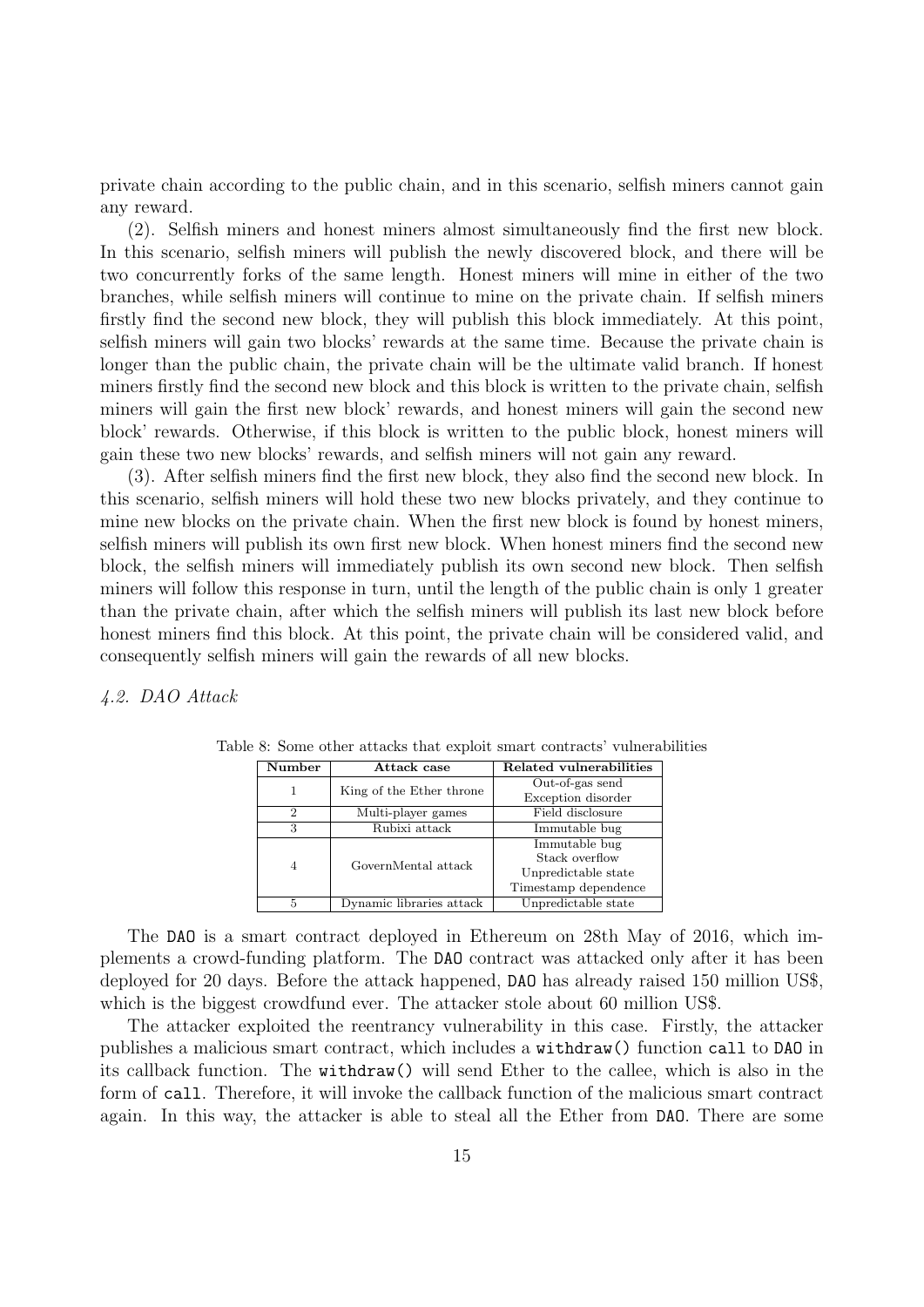private chain according to the public chain, and in this scenario, selfish miners cannot gain any reward.

(2). Selfish miners and honest miners almost simultaneously find the first new block. In this scenario, selfish miners will publish the newly discovered block, and there will be two concurrently forks of the same length. Honest miners will mine in either of the two branches, while selfish miners will continue to mine on the private chain. If selfish miners firstly find the second new block, they will publish this block immediately. At this point, selfish miners will gain two blocks' rewards at the same time. Because the private chain is longer than the public chain, the private chain will be the ultimate valid branch. If honest miners firstly find the second new block and this block is written to the private chain, selfish miners will gain the first new block' rewards, and honest miners will gain the second new block' rewards. Otherwise, if this block is written to the public block, honest miners will gain these two new blocks' rewards, and selfish miners will not gain any reward.

(3). After selfish miners find the first new block, they also find the second new block. In this scenario, selfish miners will hold these two new blocks privately, and they continue to mine new blocks on the private chain. When the first new block is found by honest miners, selfish miners will publish its own first new block. When honest miners find the second new block, the selfish miners will immediately publish its own second new block. Then selfish miners will follow this response in turn, until the length of the public chain is only 1 greater than the private chain, after which the selfish miners will publish its last new block before honest miners find this block. At this point, the private chain will be considered valid, and consequently selfish miners will gain the rewards of all new blocks.

## 4.2. DAO Attack

<span id="page-14-0"></span>

| Number         | Attack case              | Related vulnerabilities |
|----------------|--------------------------|-------------------------|
| 1              |                          | Out-of-gas send         |
|                | King of the Ether throne | Exception disorder      |
| $\mathfrak{D}$ | Multi-player games       | Field disclosure        |
| 3              | Rubixi attack            | Immutable bug           |
|                |                          | Immutable bug           |
| 4              | GovernMental attack      | Stack overflow          |
|                |                          | Unpredictable state     |
|                |                          | Timestamp dependence    |
| 5              | Dynamic libraries attack | Unpredictable state     |

Table 8: Some other attacks that exploit smart contracts' vulnerabilities

The DAO is a smart contract deployed in Ethereum on 28th May of 2016, which implements a crowd-funding platform. The DAO contract was attacked only after it has been deployed for 20 days. Before the attack happened, DAO has already raised 150 million US\$, which is the biggest crowdfund ever. The attacker stole about 60 million US\$.

The attacker exploited the reentrancy vulnerability in this case. Firstly, the attacker publishes a malicious smart contract, which includes a withdraw() function call to DAO in its callback function. The withdraw() will send Ether to the callee, which is also in the form of call. Therefore, it will invoke the callback function of the malicious smart contract again. In this way, the attacker is able to steal all the Ether from DAO. There are some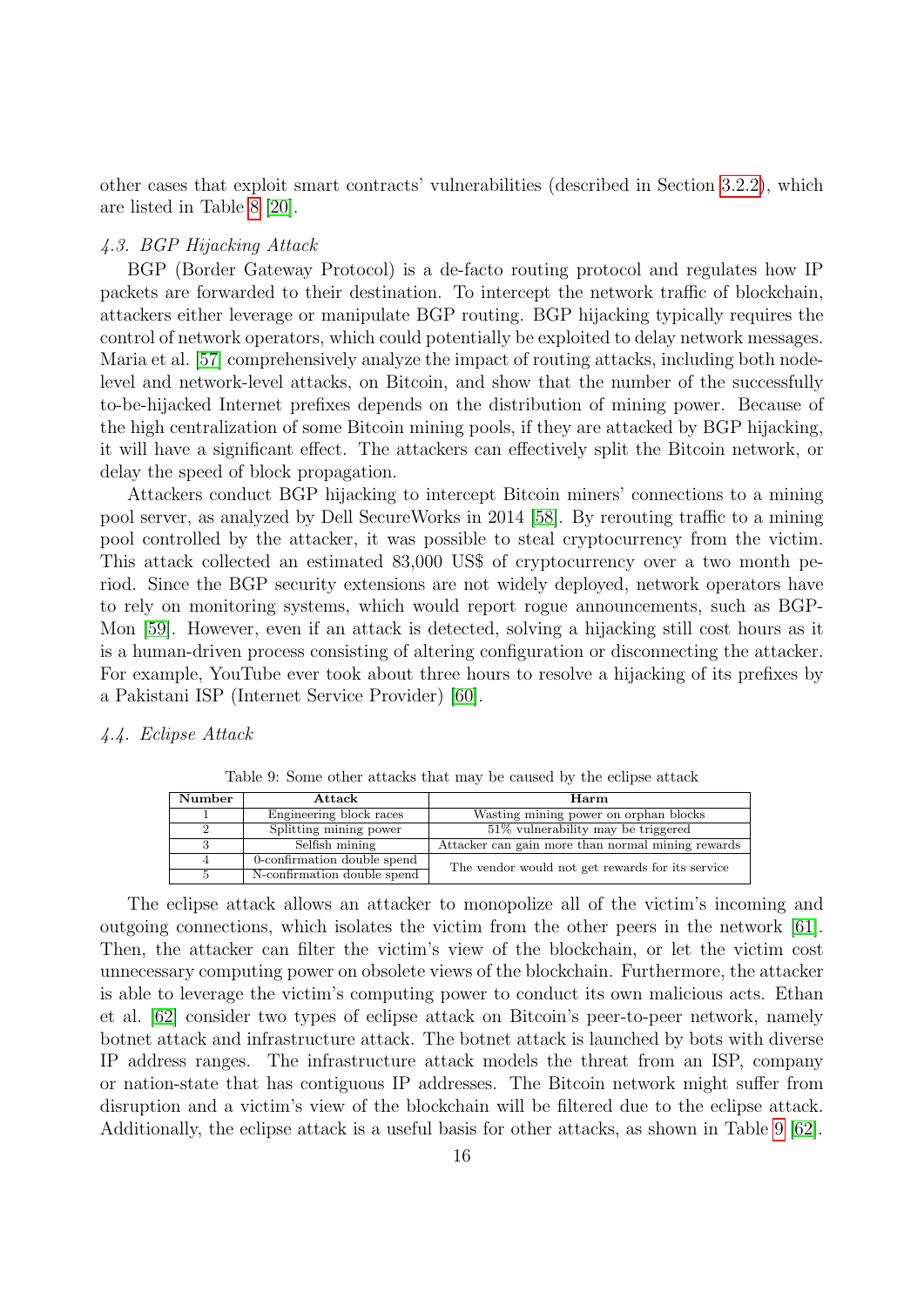other cases that exploit smart contracts' vulnerabilities (described in Section [3.2.2\)](#page-11-1), which are listed in Table [8](#page-14-0) [\[20\]](#page-22-17).

# 4.3. BGP Hijacking Attack

BGP (Border Gateway Protocol) is a de-facto routing protocol and regulates how IP packets are forwarded to their destination. To intercept the network traffic of blockchain, attackers either leverage or manipulate BGP routing. BGP hijacking typically requires the control of network operators, which could potentially be exploited to delay network messages. Maria et al. [\[57\]](#page-24-6) comprehensively analyze the impact of routing attacks, including both nodelevel and network-level attacks, on Bitcoin, and show that the number of the successfully to-be-hijacked Internet prefixes depends on the distribution of mining power. Because of the high centralization of some Bitcoin mining pools, if they are attacked by BGP hijacking, it will have a significant effect. The attackers can effectively split the Bitcoin network, or delay the speed of block propagation.

Attackers conduct BGP hijacking to intercept Bitcoin miners' connections to a mining pool server, as analyzed by Dell SecureWorks in 2014 [\[58\]](#page-24-7). By rerouting traffic to a mining pool controlled by the attacker, it was possible to steal cryptocurrency from the victim. This attack collected an estimated 83,000 US\$ of cryptocurrency over a two month period. Since the BGP security extensions are not widely deployed, network operators have to rely on monitoring systems, which would report rogue announcements, such as BGP-Mon [\[59\]](#page-24-8). However, even if an attack is detected, solving a hijacking still cost hours as it is a human-driven process consisting of altering configuration or disconnecting the attacker. For example, YouTube ever took about three hours to resolve a hijacking of its prefixes by a Pakistani ISP (Internet Service Provider) [\[60\]](#page-24-9).

## 4.4. Eclipse Attack

| Number | Attack                      | Harm                                              |  |
|--------|-----------------------------|---------------------------------------------------|--|
|        | Engineering block races     | Wasting mining power on orphan blocks             |  |
|        | Splitting mining power      | $51\%$ vulnerability may be triggered             |  |
|        | Selfish mining              | Attacker can gain more than normal mining rewards |  |
| 4      | 0-confirmation double spend | The vendor would not get rewards for its service  |  |
|        | N-confirmation double spend |                                                   |  |

<span id="page-15-0"></span>Table 9: Some other attacks that may be caused by the eclipse attack

The eclipse attack allows an attacker to monopolize all of the victim's incoming and outgoing connections, which isolates the victim from the other peers in the network [\[61\]](#page-24-10). Then, the attacker can filter the victim's view of the blockchain, or let the victim cost unnecessary computing power on obsolete views of the blockchain. Furthermore, the attacker is able to leverage the victim's computing power to conduct its own malicious acts. Ethan et al. [\[62\]](#page-24-11) consider two types of eclipse attack on Bitcoin's peer-to-peer network, namely botnet attack and infrastructure attack. The botnet attack is launched by bots with diverse IP address ranges. The infrastructure attack models the threat from an ISP, company or nation-state that has contiguous IP addresses. The Bitcoin network might suffer from disruption and a victim's view of the blockchain will be filtered due to the eclipse attack. Additionally, the eclipse attack is a useful basis for other attacks, as shown in Table [9](#page-15-0) [\[62\]](#page-24-11).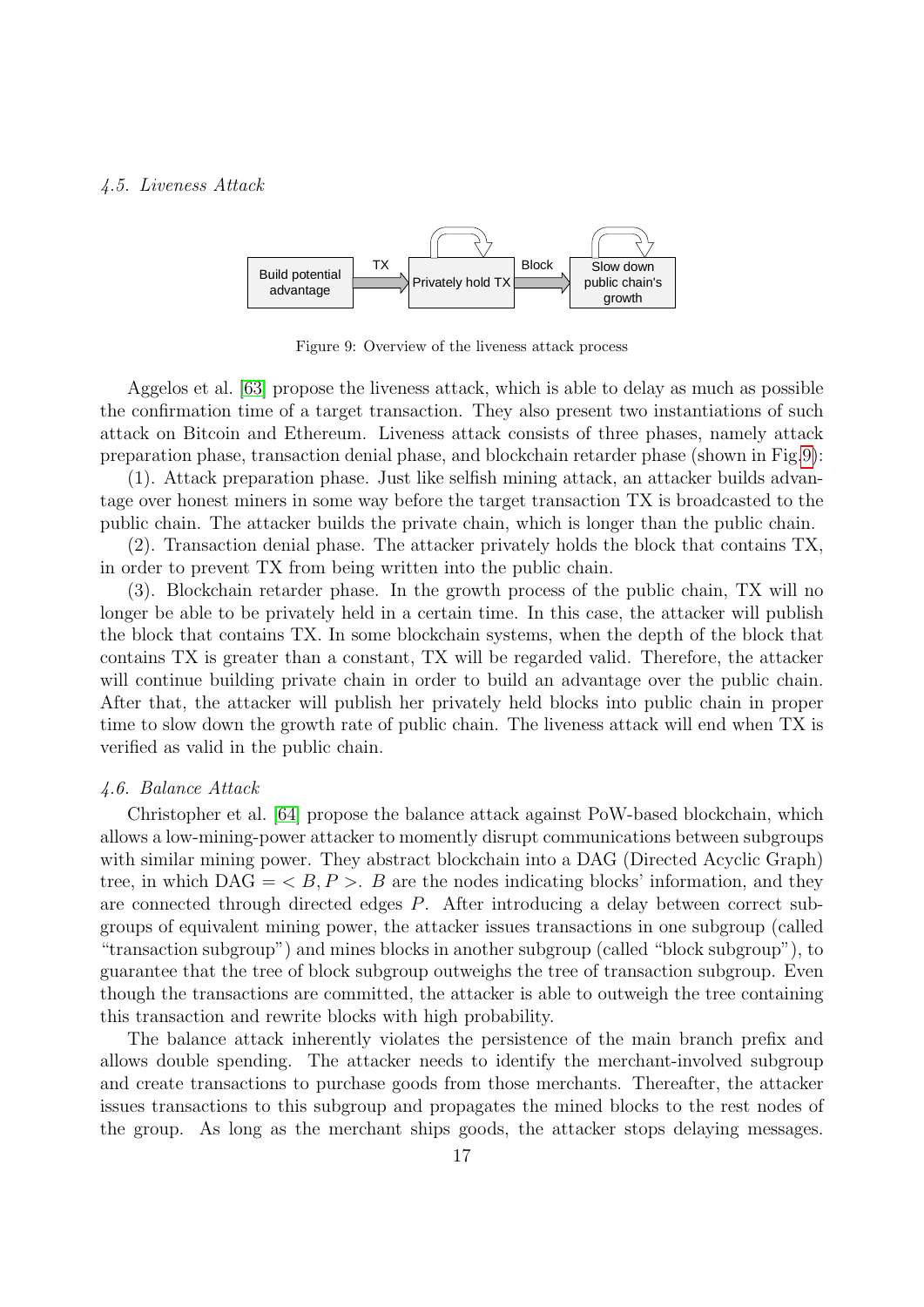## 4.5. Liveness Attack



<span id="page-16-0"></span>Figure 9: Overview of the liveness attack process

Aggelos et al. [\[63\]](#page-24-12) propose the liveness attack, which is able to delay as much as possible the confirmation time of a target transaction. They also present two instantiations of such attack on Bitcoin and Ethereum. Liveness attack consists of three phases, namely attack preparation phase, transaction denial phase, and blockchain retarder phase (shown in Fig[.9\)](#page-16-0):

(1). Attack preparation phase. Just like selfish mining attack, an attacker builds advantage over honest miners in some way before the target transaction TX is broadcasted to the public chain. The attacker builds the private chain, which is longer than the public chain.

(2). Transaction denial phase. The attacker privately holds the block that contains TX, in order to prevent TX from being written into the public chain.

(3). Blockchain retarder phase. In the growth process of the public chain, TX will no longer be able to be privately held in a certain time. In this case, the attacker will publish the block that contains TX. In some blockchain systems, when the depth of the block that contains TX is greater than a constant, TX will be regarded valid. Therefore, the attacker will continue building private chain in order to build an advantage over the public chain. After that, the attacker will publish her privately held blocks into public chain in proper time to slow down the growth rate of public chain. The liveness attack will end when TX is verified as valid in the public chain.

#### 4.6. Balance Attack

Christopher et al. [\[64\]](#page-24-13) propose the balance attack against PoW-based blockchain, which allows a low-mining-power attacker to momently disrupt communications between subgroups with similar mining power. They abstract blockchain into a DAG (Directed Acyclic Graph) tree, in which  $\text{DAG} = \langle B, P \rangle$ . B are the nodes indicating blocks' information, and they are connected through directed edges P. After introducing a delay between correct subgroups of equivalent mining power, the attacker issues transactions in one subgroup (called "transaction subgroup") and mines blocks in another subgroup (called "block subgroup"), to guarantee that the tree of block subgroup outweighs the tree of transaction subgroup. Even though the transactions are committed, the attacker is able to outweigh the tree containing this transaction and rewrite blocks with high probability.

The balance attack inherently violates the persistence of the main branch prefix and allows double spending. The attacker needs to identify the merchant-involved subgroup and create transactions to purchase goods from those merchants. Thereafter, the attacker issues transactions to this subgroup and propagates the mined blocks to the rest nodes of the group. As long as the merchant ships goods, the attacker stops delaying messages.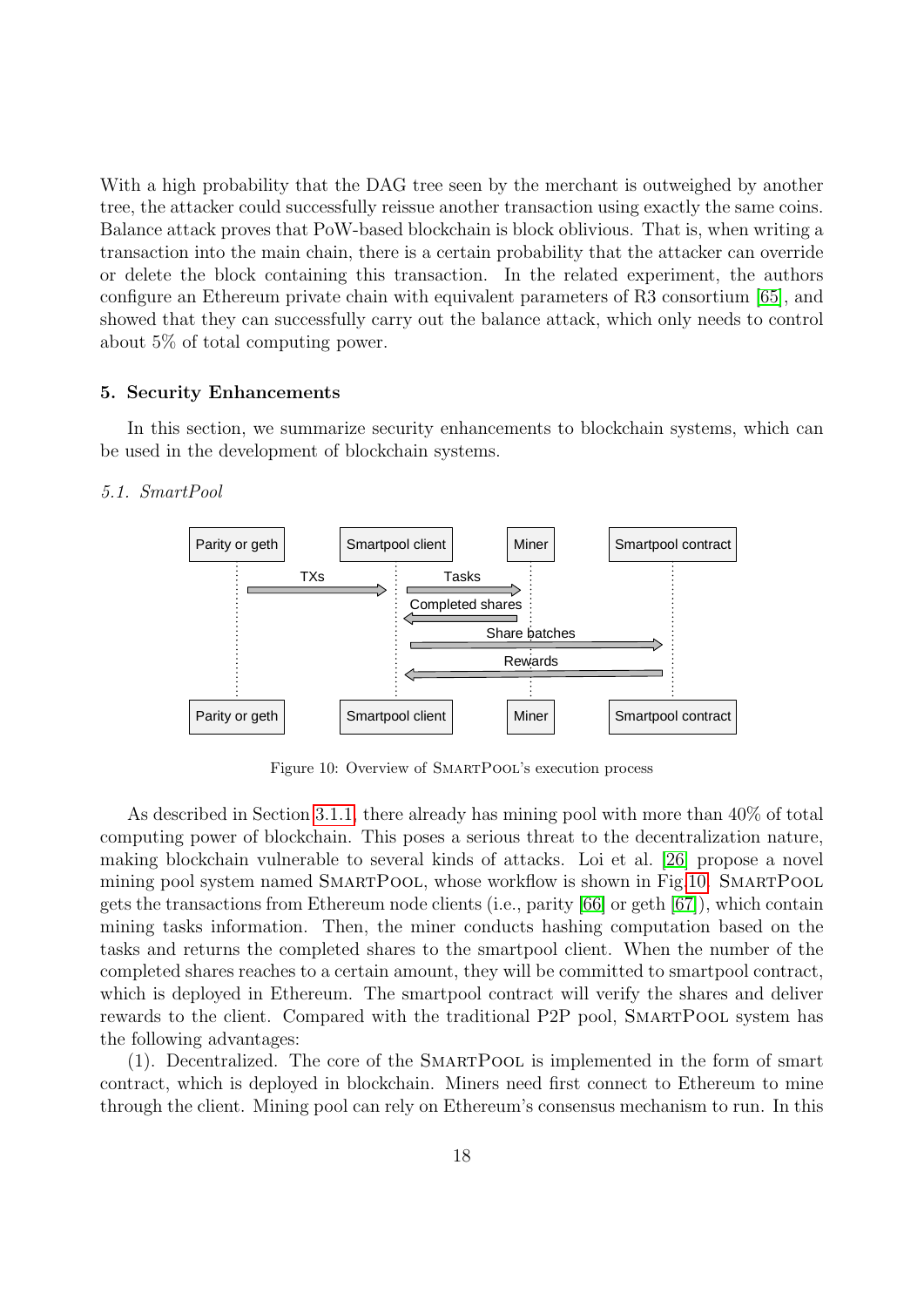With a high probability that the DAG tree seen by the merchant is outweighed by another tree, the attacker could successfully reissue another transaction using exactly the same coins. Balance attack proves that PoW-based blockchain is block oblivious. That is, when writing a transaction into the main chain, there is a certain probability that the attacker can override or delete the block containing this transaction. In the related experiment, the authors configure an Ethereum private chain with equivalent parameters of R3 consortium [\[65\]](#page-24-14), and showed that they can successfully carry out the balance attack, which only needs to control about 5% of total computing power.

# <span id="page-17-0"></span>5. Security Enhancements

In this section, we summarize security enhancements to blockchain systems, which can be used in the development of blockchain systems.

# 5.1. SmartPool



<span id="page-17-1"></span>Figure 10: Overview of SMARTPOOL's execution process

As described in Section [3.1.1,](#page-6-2) there already has mining pool with more than 40% of total computing power of blockchain. This poses a serious threat to the decentralization nature, making blockchain vulnerable to several kinds of attacks. Loi et al. [\[26\]](#page-22-23) propose a novel mining pool system named SMARTPOOL, whose workflow is shown in Fig[.10.](#page-17-1) SMARTPOOL gets the transactions from Ethereum node clients (i.e., parity [\[66\]](#page-24-15) or geth [\[67\]](#page-24-16)), which contain mining tasks information. Then, the miner conducts hashing computation based on the tasks and returns the completed shares to the smartpool client. When the number of the completed shares reaches to a certain amount, they will be committed to smartpool contract, which is deployed in Ethereum. The smartpool contract will verify the shares and deliver rewards to the client. Compared with the traditional P2P pool, SMARTPOOL system has the following advantages:

(1). Decentralized. The core of the SmartPool is implemented in the form of smart contract, which is deployed in blockchain. Miners need first connect to Ethereum to mine through the client. Mining pool can rely on Ethereum's consensus mechanism to run. In this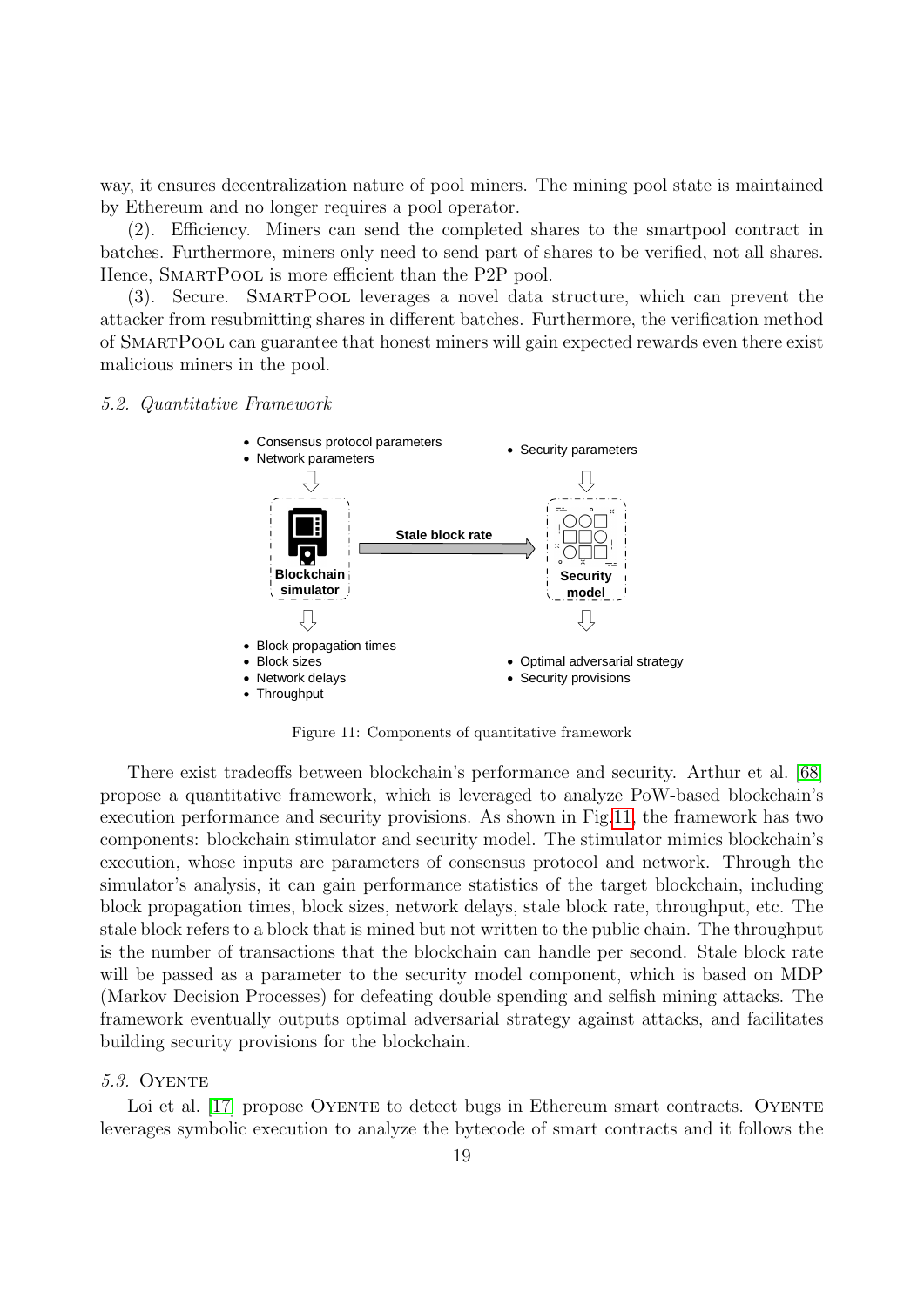way, it ensures decentralization nature of pool miners. The mining pool state is maintained by Ethereum and no longer requires a pool operator.

(2). Efficiency. Miners can send the completed shares to the smartpool contract in batches. Furthermore, miners only need to send part of shares to be verified, not all shares. Hence, SMARTPOOL is more efficient than the P2P pool.

(3). Secure. SmartPool leverages a novel data structure, which can prevent the attacker from resubmitting shares in different batches. Furthermore, the verification method of SmartPool can guarantee that honest miners will gain expected rewards even there exist malicious miners in the pool.

## 5.2. Quantitative Framework



<span id="page-18-0"></span>Figure 11: Components of quantitative framework

There exist tradeoffs between blockchain's performance and security. Arthur et al. [\[68\]](#page-23-2) propose a quantitative framework, which is leveraged to analyze PoW-based blockchain's execution performance and security provisions. As shown in Fig[.11,](#page-18-0) the framework has two components: blockchain stimulator and security model. The stimulator mimics blockchain's execution, whose inputs are parameters of consensus protocol and network. Through the simulator's analysis, it can gain performance statistics of the target blockchain, including block propagation times, block sizes, network delays, stale block rate, throughput, etc. The stale block refers to a block that is mined but not written to the public chain. The throughput is the number of transactions that the blockchain can handle per second. Stale block rate will be passed as a parameter to the security model component, which is based on MDP (Markov Decision Processes) for defeating double spending and selfish mining attacks. The framework eventually outputs optimal adversarial strategy against attacks, and facilitates building security provisions for the blockchain.

# **5.3. OYENTE**

Loi et al. [\[17\]](#page-22-14) propose OYENTE to detect bugs in Ethereum smart contracts. OYENTE leverages symbolic execution to analyze the bytecode of smart contracts and it follows the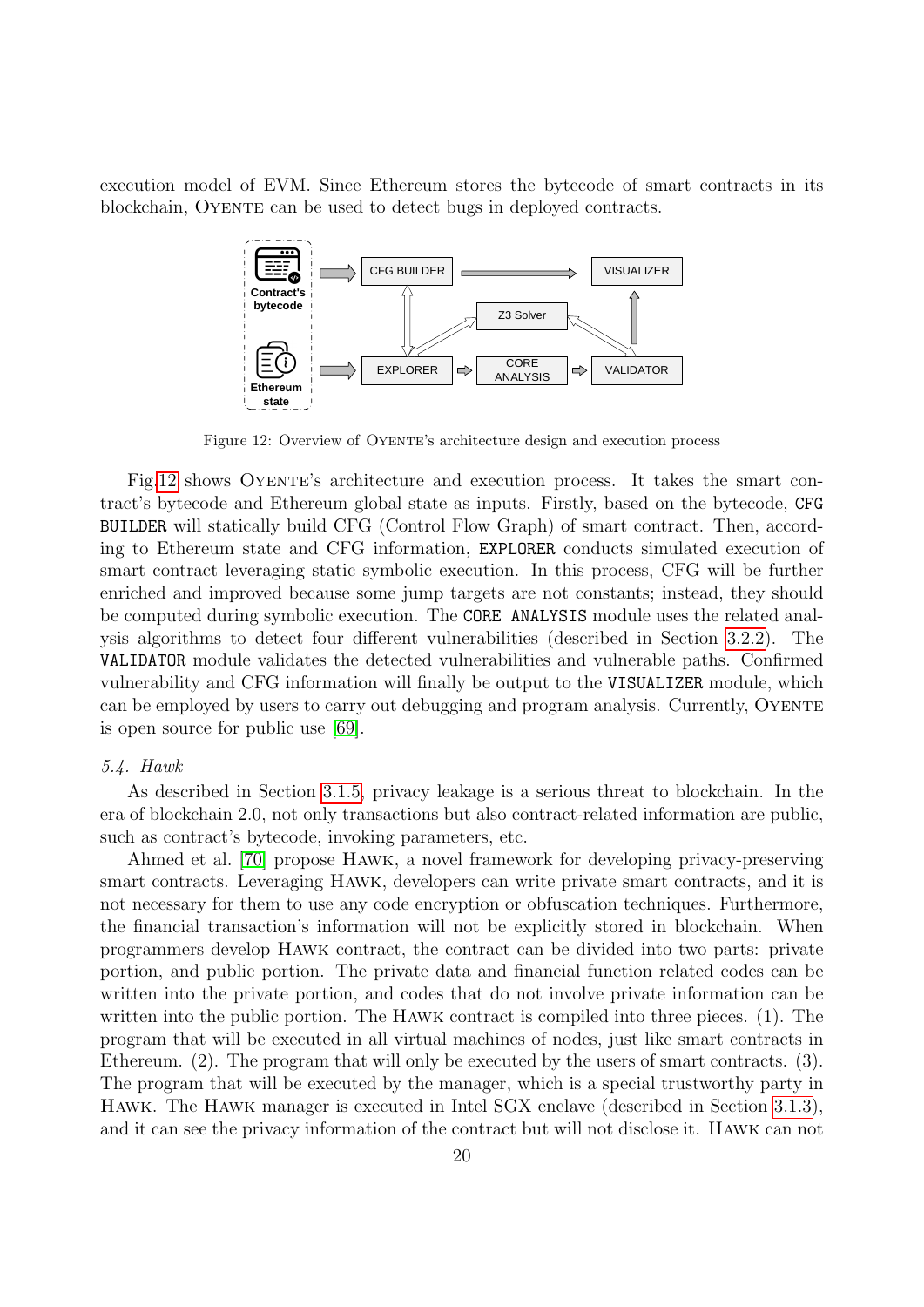execution model of EVM. Since Ethereum stores the bytecode of smart contracts in its blockchain, OYENTE can be used to detect bugs in deployed contracts.



<span id="page-19-0"></span>Figure 12: Overview of OYENTE's architecture design and execution process

Fig[.12](#page-19-0) shows Oyente's architecture and execution process. It takes the smart contract's bytecode and Ethereum global state as inputs. Firstly, based on the bytecode, CFG BUILDER will statically build CFG (Control Flow Graph) of smart contract. Then, according to Ethereum state and CFG information, EXPLORER conducts simulated execution of smart contract leveraging static symbolic execution. In this process, CFG will be further enriched and improved because some jump targets are not constants; instead, they should be computed during symbolic execution. The CORE ANALYSIS module uses the related analysis algorithms to detect four different vulnerabilities (described in Section [3.2.2\)](#page-11-1). The VALIDATOR module validates the detected vulnerabilities and vulnerable paths. Confirmed vulnerability and CFG information will finally be output to the VISUALIZER module, which can be employed by users to carry out debugging and program analysis. Currently, OYENTE is open source for public use [\[69\]](#page-24-17).

#### 5.4. Hawk

As described in Section [3.1.5,](#page-9-1) privacy leakage is a serious threat to blockchain. In the era of blockchain 2.0, not only transactions but also contract-related information are public, such as contract's bytecode, invoking parameters, etc.

Ahmed et al. [\[70\]](#page-24-18) propose Hawk, a novel framework for developing privacy-preserving smart contracts. Leveraging Hawk, developers can write private smart contracts, and it is not necessary for them to use any code encryption or obfuscation techniques. Furthermore, the financial transaction's information will not be explicitly stored in blockchain. When programmers develop Hawk contract, the contract can be divided into two parts: private portion, and public portion. The private data and financial function related codes can be written into the private portion, and codes that do not involve private information can be written into the public portion. The Hawk contract is compiled into three pieces. (1). The program that will be executed in all virtual machines of nodes, just like smart contracts in Ethereum. (2). The program that will only be executed by the users of smart contracts. (3). The program that will be executed by the manager, which is a special trustworthy party in Hawk. The Hawk manager is executed in Intel SGX enclave (described in Section [3.1.3\)](#page-7-1), and it can see the privacy information of the contract but will not disclose it. Hawk can not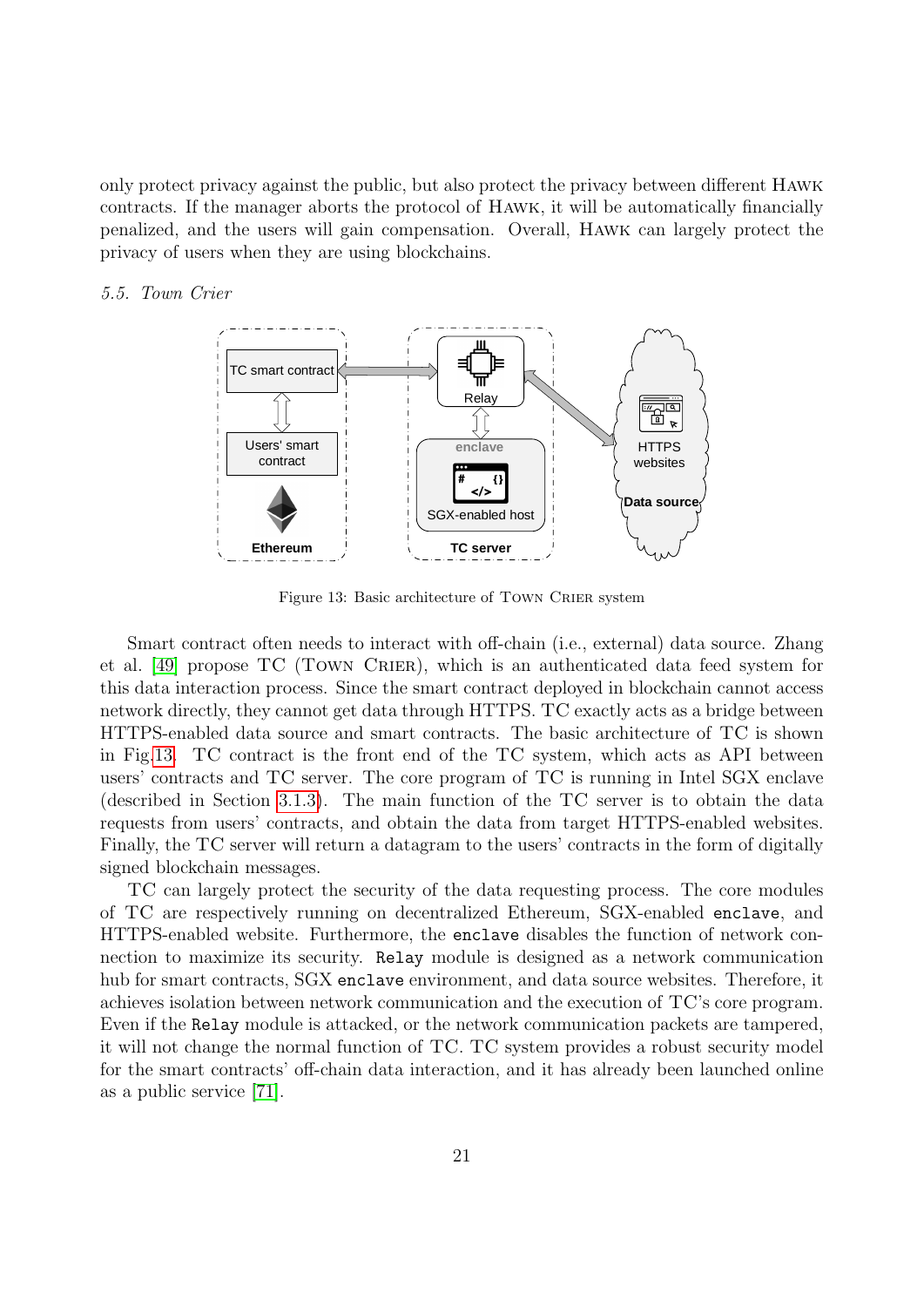only protect privacy against the public, but also protect the privacy between different Hawk contracts. If the manager aborts the protocol of Hawk, it will be automatically financially penalized, and the users will gain compensation. Overall, Hawk can largely protect the privacy of users when they are using blockchains.

## 5.5. Town Crier



<span id="page-20-0"></span>Figure 13: Basic architecture of TOWN CRIER system

Smart contract often needs to interact with off-chain (i.e., external) data source. Zhang et al. [\[49\]](#page-23-22) propose TC (Town Crier), which is an authenticated data feed system for this data interaction process. Since the smart contract deployed in blockchain cannot access network directly, they cannot get data through HTTPS. TC exactly acts as a bridge between HTTPS-enabled data source and smart contracts. The basic architecture of TC is shown in Fig[.13.](#page-20-0) TC contract is the front end of the TC system, which acts as API between users' contracts and TC server. The core program of TC is running in Intel SGX enclave (described in Section [3.1.3\)](#page-7-1). The main function of the TC server is to obtain the data requests from users' contracts, and obtain the data from target HTTPS-enabled websites. Finally, the TC server will return a datagram to the users' contracts in the form of digitally signed blockchain messages.

TC can largely protect the security of the data requesting process. The core modules of TC are respectively running on decentralized Ethereum, SGX-enabled enclave, and HTTPS-enabled website. Furthermore, the enclave disables the function of network connection to maximize its security. Relay module is designed as a network communication hub for smart contracts, SGX enclave environment, and data source websites. Therefore, it achieves isolation between network communication and the execution of TC's core program. Even if the Relay module is attacked, or the network communication packets are tampered, it will not change the normal function of TC. TC system provides a robust security model for the smart contracts' off-chain data interaction, and it has already been launched online as a public service [\[71\]](#page-24-19).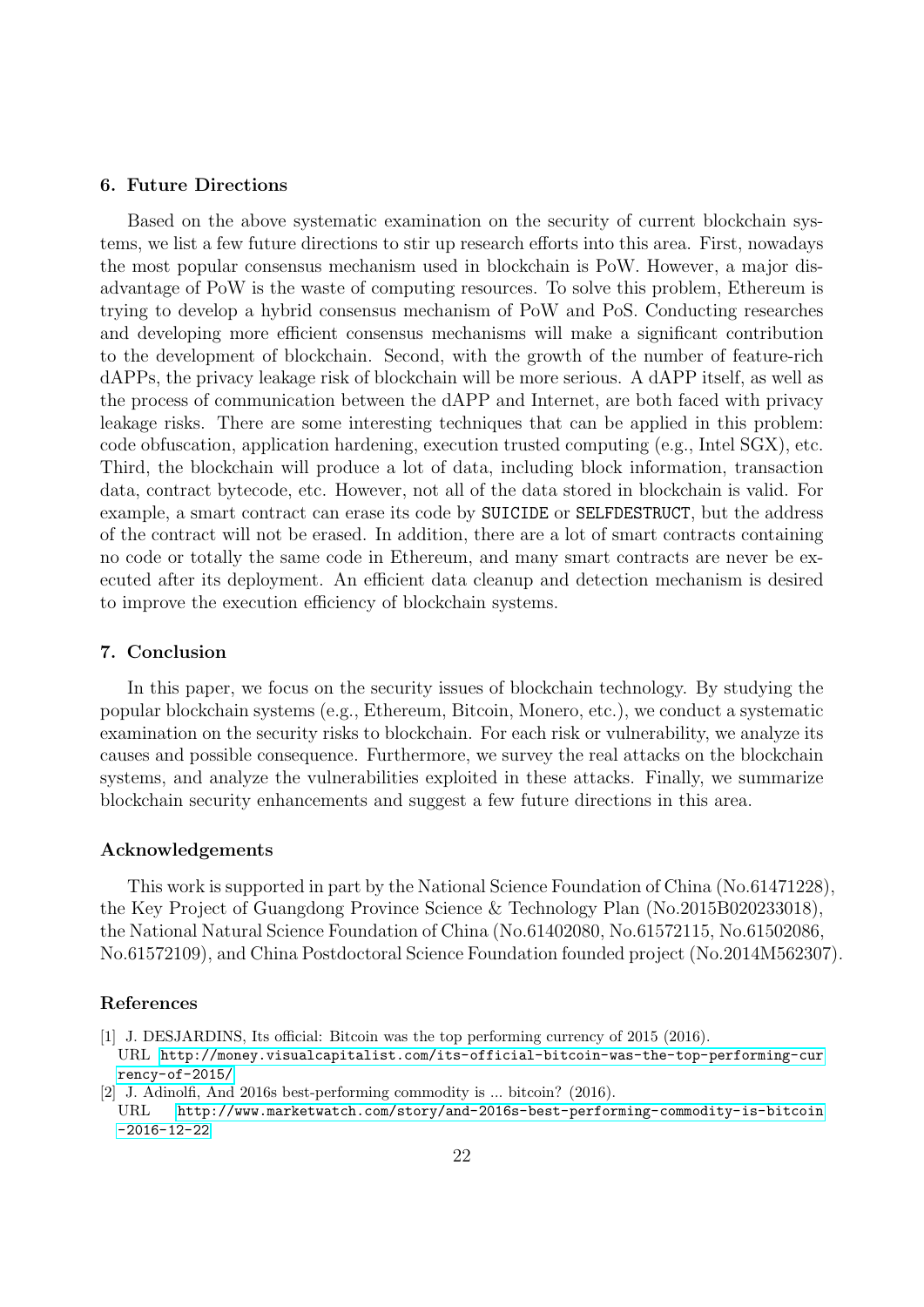# <span id="page-21-2"></span>6. Future Directions

Based on the above systematic examination on the security of current blockchain systems, we list a few future directions to stir up research efforts into this area. First, nowadays the most popular consensus mechanism used in blockchain is PoW. However, a major disadvantage of PoW is the waste of computing resources. To solve this problem, Ethereum is trying to develop a hybrid consensus mechanism of PoW and PoS. Conducting researches and developing more efficient consensus mechanisms will make a significant contribution to the development of blockchain. Second, with the growth of the number of feature-rich dAPPs, the privacy leakage risk of blockchain will be more serious. A dAPP itself, as well as the process of communication between the dAPP and Internet, are both faced with privacy leakage risks. There are some interesting techniques that can be applied in this problem: code obfuscation, application hardening, execution trusted computing (e.g., Intel SGX), etc. Third, the blockchain will produce a lot of data, including block information, transaction data, contract bytecode, etc. However, not all of the data stored in blockchain is valid. For example, a smart contract can erase its code by SUICIDE or SELFDESTRUCT, but the address of the contract will not be erased. In addition, there are a lot of smart contracts containing no code or totally the same code in Ethereum, and many smart contracts are never be executed after its deployment. An efficient data cleanup and detection mechanism is desired to improve the execution efficiency of blockchain systems.

## <span id="page-21-3"></span>7. Conclusion

In this paper, we focus on the security issues of blockchain technology. By studying the popular blockchain systems (e.g., Ethereum, Bitcoin, Monero, etc.), we conduct a systematic examination on the security risks to blockchain. For each risk or vulnerability, we analyze its causes and possible consequence. Furthermore, we survey the real attacks on the blockchain systems, and analyze the vulnerabilities exploited in these attacks. Finally, we summarize blockchain security enhancements and suggest a few future directions in this area.

## Acknowledgements

This work is supported in part by the National Science Foundation of China (No.61471228), the Key Project of Guangdong Province Science & Technology Plan (No.2015B020233018), the National Natural Science Foundation of China (No.61402080, No.61572115, No.61502086, No.61572109), and China Postdoctoral Science Foundation founded project (No.2014M562307).

## References

- <span id="page-21-0"></span>[1] J. DESJARDINS, Its official: Bitcoin was the top performing currency of 2015 (2016). URL [http://money.visualcapitalist.com/its-official-bitcoin-was-the-top-performing-cur](http://money.visualcapitalist.com/its-official-bitcoin-was-the-top-performing-currency-of-2015/) [rency-of-2015/](http://money.visualcapitalist.com/its-official-bitcoin-was-the-top-performing-currency-of-2015/)
- <span id="page-21-1"></span>[2] J. Adinolfi, And 2016s best-performing commodity is ... bitcoin? (2016). URL [http://www.marketwatch.com/story/and-2016s-best-performing-commodity-is-bitcoin](http://www.marketwatch.com/story/and-2016s-best-performing-commodity-is-bitcoin-2016-12-22) [-2016-12-22](http://www.marketwatch.com/story/and-2016s-best-performing-commodity-is-bitcoin-2016-12-22)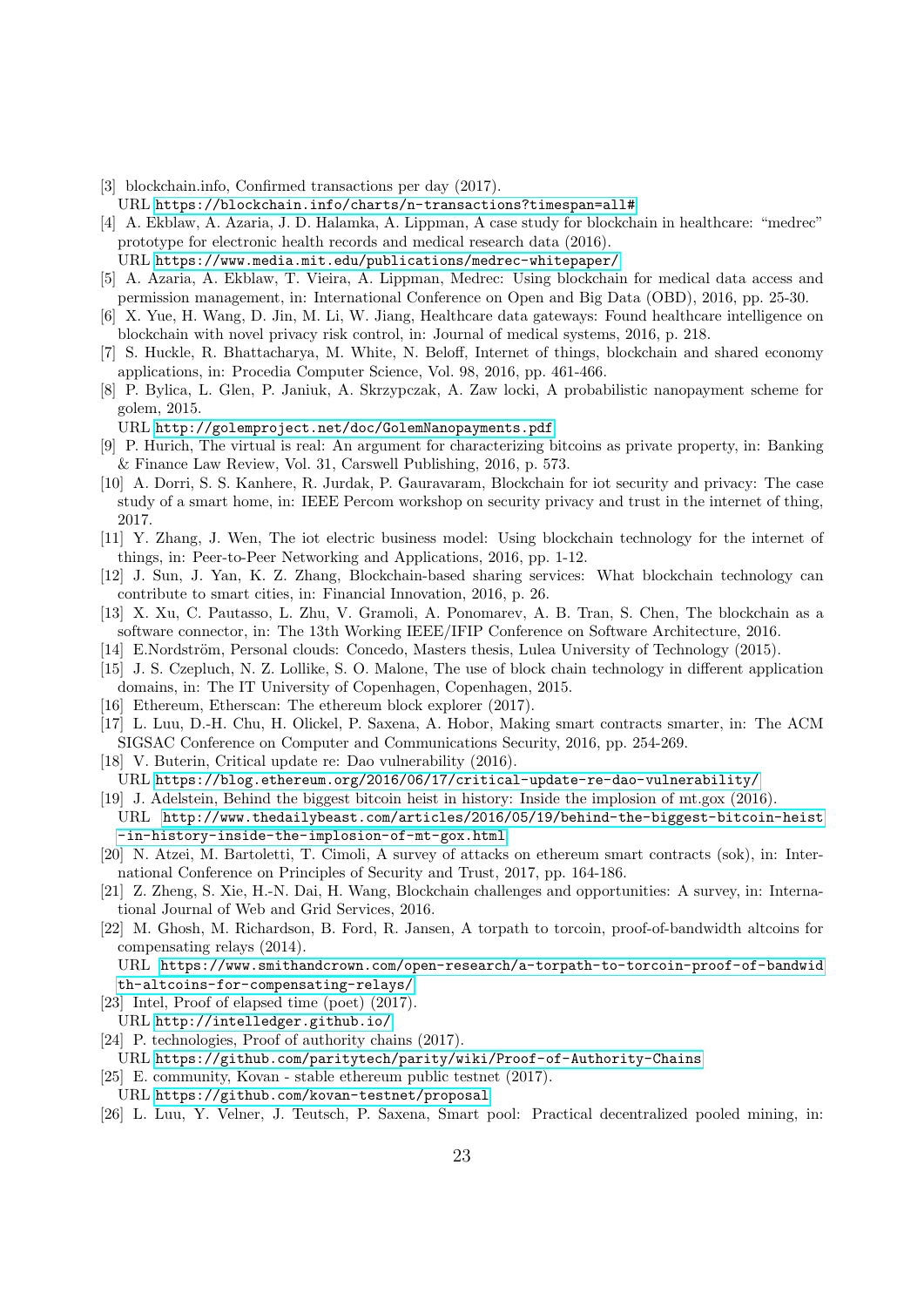<span id="page-22-0"></span>[3] blockchain.info, Confirmed transactions per day (2017).

URL <https://blockchain.info/charts/n-transactions?timespan=all#>

<span id="page-22-1"></span>[4] A. Ekblaw, A. Azaria, J. D. Halamka, A. Lippman, A case study for blockchain in healthcare: "medrec" prototype for electronic health records and medical research data (2016).

URL <https://www.media.mit.edu/publications/medrec-whitepaper/>

- <span id="page-22-2"></span>[5] A. Azaria, A. Ekblaw, T. Vieira, A. Lippman, Medrec: Using blockchain for medical data access and permission management, in: International Conference on Open and Big Data (OBD), 2016, pp. 25-30.
- <span id="page-22-3"></span>[6] X. Yue, H. Wang, D. Jin, M. Li, W. Jiang, Healthcare data gateways: Found healthcare intelligence on blockchain with novel privacy risk control, in: Journal of medical systems, 2016, p. 218.
- <span id="page-22-4"></span>[7] S. Huckle, R. Bhattacharya, M. White, N. Beloff, Internet of things, blockchain and shared economy applications, in: Procedia Computer Science, Vol. 98, 2016, pp. 461-466.
- <span id="page-22-5"></span>[8] P. Bylica, L. Glen, P. Janiuk, A. Skrzypczak, A. Zaw locki, A probabilistic nanopayment scheme for golem, 2015.

#### URL <http://golemproject.net/doc/GolemNanopayments.pdf>

- <span id="page-22-6"></span>[9] P. Hurich, The virtual is real: An argument for characterizing bitcoins as private property, in: Banking & Finance Law Review, Vol. 31, Carswell Publishing, 2016, p. 573.
- <span id="page-22-7"></span>[10] A. Dorri, S. S. Kanhere, R. Jurdak, P. Gauravaram, Blockchain for iot security and privacy: The case study of a smart home, in: IEEE Percom workshop on security privacy and trust in the internet of thing, 2017.
- <span id="page-22-8"></span>[11] Y. Zhang, J. Wen, The iot electric business model: Using blockchain technology for the internet of things, in: Peer-to-Peer Networking and Applications, 2016, pp. 1-12.
- <span id="page-22-9"></span>[12] J. Sun, J. Yan, K. Z. Zhang, Blockchain-based sharing services: What blockchain technology can contribute to smart cities, in: Financial Innovation, 2016, p. 26.
- <span id="page-22-10"></span>[13] X. Xu, C. Pautasso, L. Zhu, V. Gramoli, A. Ponomarev, A. B. Tran, S. Chen, The blockchain as a software connector, in: The 13th Working IEEE/IFIP Conference on Software Architecture, 2016.
- <span id="page-22-11"></span>[14] E.Nordström, Personal clouds: Concedo, Masters thesis, Lulea University of Technology (2015).
- <span id="page-22-12"></span>[15] J. S. Czepluch, N. Z. Lollike, S. O. Malone, The use of block chain technology in different application domains, in: The IT University of Copenhagen, Copenhagen, 2015.
- <span id="page-22-13"></span>[16] Ethereum, Etherscan: The ethereum block explorer (2017).
- <span id="page-22-14"></span>[17] L. Luu, D.-H. Chu, H. Olickel, P. Saxena, A. Hobor, Making smart contracts smarter, in: The ACM SIGSAC Conference on Computer and Communications Security, 2016, pp. 254-269.
- <span id="page-22-15"></span>[18] V. Buterin, Critical update re: Dao vulnerability (2016). URL <https://blog.ethereum.org/2016/06/17/critical-update-re-dao-vulnerability/>
- <span id="page-22-16"></span>[19] J. Adelstein, Behind the biggest bitcoin heist in history: Inside the implosion of mt.gox (2016). URL [http://www.thedailybeast.com/articles/2016/05/19/behind-the-biggest-bitcoin-heist](http://www.thedailybeast.com/articles/2016/05/19/behind-the-biggest-bitcoin-heist-in-history-inside-the-implosion-of-mt-gox.html) [-in-history-inside-the-implosion-of-mt-gox.html](http://www.thedailybeast.com/articles/2016/05/19/behind-the-biggest-bitcoin-heist-in-history-inside-the-implosion-of-mt-gox.html)
- <span id="page-22-17"></span>[20] N. Atzei, M. Bartoletti, T. Cimoli, A survey of attacks on ethereum smart contracts (sok), in: International Conference on Principles of Security and Trust, 2017, pp. 164-186.
- <span id="page-22-18"></span>[21] Z. Zheng, S. Xie, H.-N. Dai, H. Wang, Blockchain challenges and opportunities: A survey, in: International Journal of Web and Grid Services, 2016.
- <span id="page-22-19"></span>[22] M. Ghosh, M. Richardson, B. Ford, R. Jansen, A torpath to torcoin, proof-of-bandwidth altcoins for compensating relays (2014).

URL [https://www.smithandcrown.com/open-research/a-torpath-to-torcoin-proof-of-bandwid](https://www.smithandcrown.com/open-research/a-torpath-to-torcoin-proof-of-bandwidth-altcoins-for-compensating-relays/) [th-altcoins-for-compensating-relays/](https://www.smithandcrown.com/open-research/a-torpath-to-torcoin-proof-of-bandwidth-altcoins-for-compensating-relays/)

- <span id="page-22-20"></span>[23] Intel, Proof of elapsed time (poet) (2017).
- URL <http://intelledger.github.io/>
- <span id="page-22-21"></span>[24] P. technologies, Proof of authority chains (2017).
- URL <https://github.com/paritytech/parity/wiki/Proof-of-Authority-Chains>
- <span id="page-22-22"></span>[25] E. community, Kovan - stable ethereum public testnet (2017). URL <https://github.com/kovan-testnet/proposal>
- <span id="page-22-23"></span>[26] L. Luu, Y. Velner, J. Teutsch, P. Saxena, Smart pool: Practical decentralized pooled mining, in: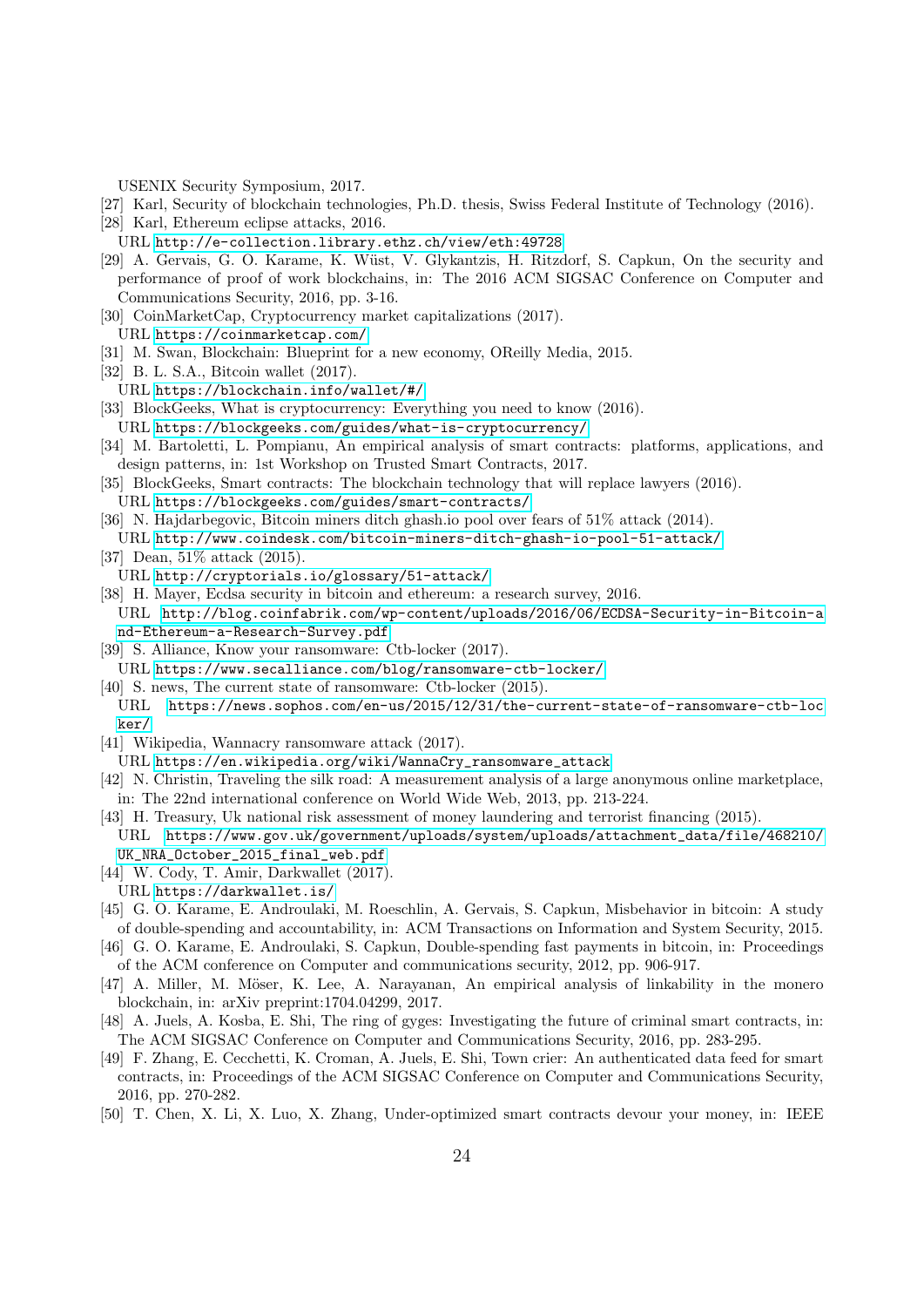USENIX Security Symposium, 2017.

- <span id="page-23-0"></span>[27] Karl, Security of blockchain technologies, Ph.D. thesis, Swiss Federal Institute of Technology (2016).
- <span id="page-23-1"></span>[28] Karl, Ethereum eclipse attacks, 2016.
- URL <http://e-collection.library.ethz.ch/view/eth:49728>
- <span id="page-23-2"></span>[29] A. Gervais, G. O. Karame, K. Wüst, V. Glykantzis, H. Ritzdorf, S. Capkun, On the security and performance of proof of work blockchains, in: The 2016 ACM SIGSAC Conference on Computer and Communications Security, 2016, pp. 3-16.
- <span id="page-23-3"></span>[30] CoinMarketCap, Cryptocurrency market capitalizations (2017).
- URL <https://coinmarketcap.com/>
- <span id="page-23-4"></span>[31] M. Swan, Blockchain: Blueprint for a new economy, OReilly Media, 2015.
- <span id="page-23-5"></span>[32] B. L. S.A., Bitcoin wallet (2017).
- URL <https://blockchain.info/wallet/#/>
- <span id="page-23-6"></span>[33] BlockGeeks, What is cryptocurrency: Everything you need to know (2016). URL <https://blockgeeks.com/guides/what-is-cryptocurrency/>
- <span id="page-23-7"></span>[34] M. Bartoletti, L. Pompianu, An empirical analysis of smart contracts: platforms, applications, and design patterns, in: 1st Workshop on Trusted Smart Contracts, 2017.
- <span id="page-23-8"></span>[35] BlockGeeks, Smart contracts: The blockchain technology that will replace lawyers (2016).
- URL <https://blockgeeks.com/guides/smart-contracts/>
- <span id="page-23-9"></span>[36] N. Hajdarbegovic, Bitcoin miners ditch ghash.io pool over fears of 51% attack (2014). URL <http://www.coindesk.com/bitcoin-miners-ditch-ghash-io-pool-51-attack/>
- <span id="page-23-10"></span>[37] Dean, 51\% attack (2015).
- URL <http://cryptorials.io/glossary/51-attack/>
- <span id="page-23-11"></span>[38] H. Mayer, Ecdsa security in bitcoin and ethereum: a research survey, 2016. URL [http://blog.coinfabrik.com/wp-content/uploads/2016/06/ECDSA-Security-in-Bitcoin-a](http://blog.coinfabrik.com/wp-content/uploads/2016/06/ECDSA-Security-in-Bitcoin-and-Ethereum-a-Research-Survey.pdf) [nd-Ethereum-a-Research-Survey.pdf](http://blog.coinfabrik.com/wp-content/uploads/2016/06/ECDSA-Security-in-Bitcoin-and-Ethereum-a-Research-Survey.pdf)
- <span id="page-23-12"></span>[39] S. Alliance, Know your ransomware: Ctb-locker (2017). URL <https://www.secalliance.com/blog/ransomware-ctb-locker/>
- <span id="page-23-13"></span>
- [40] S. news, The current state of ransomware: Ctb-locker (2015). URL [https://news.sophos.com/en-us/2015/12/31/the-current-state-of-ransomware-ctb-loc](https://news.sophos.com/en-us/2015/12/31/the-current-state-of-ransomware-ctb-locker/) [ker/](https://news.sophos.com/en-us/2015/12/31/the-current-state-of-ransomware-ctb-locker/)
- <span id="page-23-14"></span>[41] Wikipedia, Wannacry ransomware attack (2017).
- URL [https://en.wikipedia.org/wiki/WannaCry\\_ransomware\\_attack](https://en.wikipedia.org/wiki/WannaCry_ransomware_attack)
- <span id="page-23-15"></span>[42] N. Christin, Traveling the silk road: A measurement analysis of a large anonymous online marketplace, in: The 22nd international conference on World Wide Web, 2013, pp. 213-224.
- <span id="page-23-16"></span>[43] H. Treasury, Uk national risk assessment of money laundering and terrorist financing (2015). URL [https://www.gov.uk/government/uploads/system/uploads/attachment\\_data/file/468210/](https://www.gov.uk/government/uploads/system/uploads/attachment_data/file/468210/UK_NRA_October_2015_final_web.pdf)
	- [UK\\_NRA\\_October\\_2015\\_final\\_web.pdf](https://www.gov.uk/government/uploads/system/uploads/attachment_data/file/468210/UK_NRA_October_2015_final_web.pdf)
- <span id="page-23-17"></span>[44] W. Cody, T. Amir, Darkwallet (2017).
- URL <https://darkwallet.is/>
- <span id="page-23-18"></span>[45] G. O. Karame, E. Androulaki, M. Roeschlin, A. Gervais, S. Capkun, Misbehavior in bitcoin: A study of double-spending and accountability, in: ACM Transactions on Information and System Security, 2015.
- <span id="page-23-19"></span>[46] G. O. Karame, E. Androulaki, S. Capkun, Double-spending fast payments in bitcoin, in: Proceedings of the ACM conference on Computer and communications security, 2012, pp. 906-917.
- <span id="page-23-20"></span>[47] A. Miller, M. Möser, K. Lee, A. Narayanan, An empirical analysis of linkability in the monero blockchain, in: arXiv preprint:1704.04299, 2017.
- <span id="page-23-21"></span>[48] A. Juels, A. Kosba, E. Shi, The ring of gyges: Investigating the future of criminal smart contracts, in: The ACM SIGSAC Conference on Computer and Communications Security, 2016, pp. 283-295.
- <span id="page-23-22"></span>[49] F. Zhang, E. Cecchetti, K. Croman, A. Juels, E. Shi, Town crier: An authenticated data feed for smart contracts, in: Proceedings of the ACM SIGSAC Conference on Computer and Communications Security, 2016, pp. 270-282.
- <span id="page-23-23"></span>[50] T. Chen, X. Li, X. Luo, X. Zhang, Under-optimized smart contracts devour your money, in: IEEE